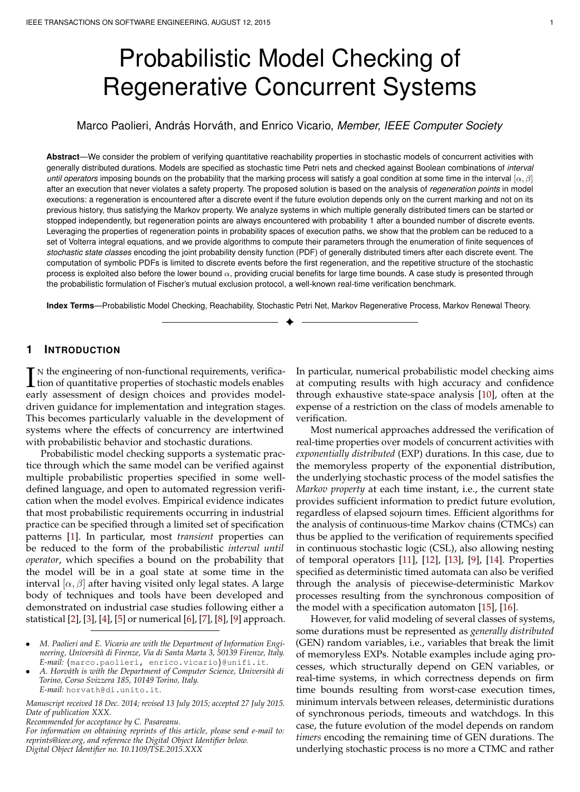# Probabilistic Model Checking of Regenerative Concurrent Systems

## Marco Paolieri, András Horváth, and Enrico Vicario, Member, IEEE Computer Society

**Abstract**—We consider the problem of verifying quantitative reachability properties in stochastic models of concurrent activities with generally distributed durations. Models are specified as stochastic time Petri nets and checked against Boolean combinations of *interval until operators* imposing bounds on the probability that the marking process will satisfy a goal condition at some time in the interval [α, β] after an execution that never violates a safety property. The proposed solution is based on the analysis of *regeneration points* in model executions: a regeneration is encountered after a discrete event if the future evolution depends only on the current marking and not on its previous history, thus satisfying the Markov property. We analyze systems in which multiple generally distributed timers can be started or stopped independently, but regeneration points are always encountered with probability 1 after a bounded number of discrete events. Leveraging the properties of regeneration points in probability spaces of execution paths, we show that the problem can be reduced to a set of Volterra integral equations, and we provide algorithms to compute their parameters through the enumeration of finite sequences of *stochastic state classes* encoding the joint probability density function (PDF) of generally distributed timers after each discrete event. The computation of symbolic PDFs is limited to discrete events before the first regeneration, and the repetitive structure of the stochastic process is exploited also before the lower bound  $\alpha$ , providing crucial benefits for large time bounds. A case study is presented through the probabilistic formulation of Fischer's mutual exclusion protocol, a well-known real-time verification benchmark.

**Index Terms**—Probabilistic Model Checking, Reachability, Stochastic Petri Net, Markov Regenerative Process, Markov Renewal Theory. ✦

## **1 INTRODUCTION**

In the engineering of non-functional requirements, verifica-<br>tion of quantitative properties of stochastic models enables<br>explicitly assoscement of dosign choices and provides modeltion of quantitative properties of stochastic models enables early assessment of design choices and provides modeldriven guidance for implementation and integration stages. This becomes particularly valuable in the development of systems where the effects of concurrency are intertwined with probabilistic behavior and stochastic durations.

Probabilistic model checking supports a systematic practice through which the same model can be verified against multiple probabilistic properties specified in some welldefined language, and open to automated regression verification when the model evolves. Empirical evidence indicates that most probabilistic requirements occurring in industrial practice can be specified through a limited set of specification patterns [\[1\]](#page-15-0). In particular, most *transient* properties can be reduced to the form of the probabilistic *interval until operator*, which specifies a bound on the probability that the model will be in a goal state at some time in the interval  $[\alpha, \beta]$  after having visited only legal states. A large body of techniques and tools have been developed and demonstrated on industrial case studies following either a statistical [\[2\]](#page-15-1), [\[3\]](#page-15-2), [\[4\]](#page-15-3), [\[5\]](#page-15-4) or numerical [\[6\]](#page-15-5), [\[7\]](#page-15-6), [\[8\]](#page-15-7), [\[9\]](#page-15-8) approach.

*Manuscript received 18 Dec. 2014; revised 13 July 2015; accepted 27 July 2015. Date of publication XXX.*

In particular, numerical probabilistic model checking aims at computing results with high accuracy and confidence through exhaustive state-space analysis [\[10\]](#page-15-9), often at the expense of a restriction on the class of models amenable to verification.

Most numerical approaches addressed the verification of real-time properties over models of concurrent activities with *exponentially distributed* (EXP) durations. In this case, due to the memoryless property of the exponential distribution, the underlying stochastic process of the model satisfies the *Markov property* at each time instant, i.e., the current state provides sufficient information to predict future evolution, regardless of elapsed sojourn times. Efficient algorithms for the analysis of continuous-time Markov chains (CTMCs) can thus be applied to the verification of requirements specified in continuous stochastic logic (CSL), also allowing nesting of temporal operators [\[11\]](#page-15-10), [\[12\]](#page-15-11), [\[13\]](#page-15-12), [\[9\]](#page-15-8), [\[14\]](#page-15-13). Properties specified as deterministic timed automata can also be verified through the analysis of piecewise-deterministic Markov processes resulting from the synchronous composition of the model with a specification automaton [\[15\]](#page-15-14), [\[16\]](#page-15-15).

However, for valid modeling of several classes of systems, some durations must be represented as *generally distributed* (GEN) random variables, i.e., variables that break the limit of memoryless EXPs. Notable examples include aging processes, which structurally depend on GEN variables, or real-time systems, in which correctness depends on firm time bounds resulting from worst-case execution times, minimum intervals between releases, deterministic durations of synchronous periods, timeouts and watchdogs. In this case, the future evolution of the model depends on random *timers* encoding the remaining time of GEN durations. The underlying stochastic process is no more a CTMC and rather

<sup>•</sup> *M. Paolieri and E. Vicario are with the Department of Information Engineering, Universit`a di Firenze, Via di Santa Marta 3, 50139 Firenze, Italy. E-mail:* {marco.paolieri, enrico.vicario}@unifi.it*.*

<sup>•</sup> *A. Horv´ath is with the Department of Computer Science, Universit`a di Torino, Corso Svizzera 185, 10149 Torino, Italy. E-mail:* horvath@di.unito.it*.*

*Recommended for acceptance by C. Pasareanu.*

*For information on obtaining reprints of this article, please send e-mail to: reprints@ieee.org, and reference the Digital Object Identifier below. Digital Object Identifier no. 10.1109/TSE.2015.XXX*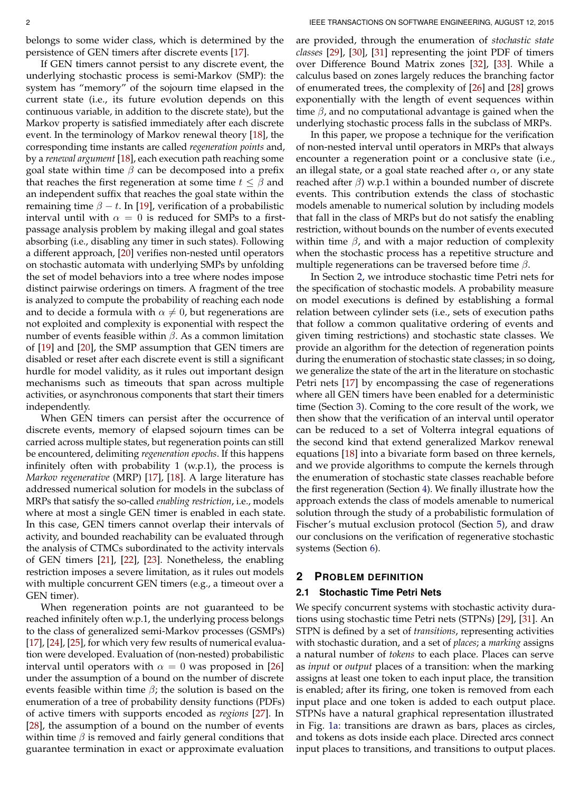belongs to some wider class, which is determined by the persistence of GEN timers after discrete events [\[17\]](#page-15-16).

If GEN timers cannot persist to any discrete event, the underlying stochastic process is semi-Markov (SMP): the system has "memory" of the sojourn time elapsed in the current state (i.e., its future evolution depends on this continuous variable, in addition to the discrete state), but the Markov property is satisfied immediately after each discrete event. In the terminology of Markov renewal theory [\[18\]](#page-15-17), the corresponding time instants are called *regeneration points* and, by a *renewal argument* [\[18\]](#page-15-17), each execution path reaching some goal state within time  $\beta$  can be decomposed into a prefix that reaches the first regeneration at some time  $t \leq \beta$  and an independent suffix that reaches the goal state within the remaining time  $\beta - t$ . In [\[19\]](#page-15-18), verification of a probabilistic interval until with  $\alpha = 0$  is reduced for SMPs to a firstpassage analysis problem by making illegal and goal states absorbing (i.e., disabling any timer in such states). Following a different approach, [\[20\]](#page-15-19) verifies non-nested until operators on stochastic automata with underlying SMPs by unfolding the set of model behaviors into a tree where nodes impose distinct pairwise orderings on timers. A fragment of the tree is analyzed to compute the probability of reaching each node and to decide a formula with  $\alpha \neq 0$ , but regenerations are not exploited and complexity is exponential with respect the number of events feasible within  $β$ . As a common limitation of [\[19\]](#page-15-18) and [\[20\]](#page-15-19), the SMP assumption that GEN timers are disabled or reset after each discrete event is still a significant hurdle for model validity, as it rules out important design mechanisms such as timeouts that span across multiple activities, or asynchronous components that start their timers independently.

When GEN timers can persist after the occurrence of discrete events, memory of elapsed sojourn times can be carried across multiple states, but regeneration points can still be encountered, delimiting *regeneration epochs*. If this happens infinitely often with probability 1 (w.p.1), the process is *Markov regenerative* (MRP) [\[17\]](#page-15-16), [\[18\]](#page-15-17). A large literature has addressed numerical solution for models in the subclass of MRPs that satisfy the so-called *enabling restriction*, i.e., models where at most a single GEN timer is enabled in each state. In this case, GEN timers cannot overlap their intervals of activity, and bounded reachability can be evaluated through the analysis of CTMCs subordinated to the activity intervals of GEN timers [\[21\]](#page-15-20), [\[22\]](#page-15-21), [\[23\]](#page-15-22). Nonetheless, the enabling restriction imposes a severe limitation, as it rules out models with multiple concurrent GEN timers (e.g., a timeout over a GEN timer).

When regeneration points are not guaranteed to be reached infinitely often w.p.1, the underlying process belongs to the class of generalized semi-Markov processes (GSMPs) [\[17\]](#page-15-16), [\[24\]](#page-15-23), [\[25\]](#page-15-24), for which very few results of numerical evaluation were developed. Evaluation of (non-nested) probabilistic interval until operators with  $\alpha = 0$  was proposed in [\[26\]](#page-15-25) under the assumption of a bound on the number of discrete events feasible within time  $\beta$ ; the solution is based on the enumeration of a tree of probability density functions (PDFs) of active timers with supports encoded as *regions* [\[27\]](#page-15-26). In [\[28\]](#page-15-27), the assumption of a bound on the number of events within time  $\beta$  is removed and fairly general conditions that guarantee termination in exact or approximate evaluation

are provided, through the enumeration of *stochastic state classes* [\[29\]](#page-15-28), [\[30\]](#page-15-29), [\[31\]](#page-15-30) representing the joint PDF of timers over Difference Bound Matrix zones [\[32\]](#page-15-31), [\[33\]](#page-15-32). While a calculus based on zones largely reduces the branching factor of enumerated trees, the complexity of [\[26\]](#page-15-25) and [\[28\]](#page-15-27) grows exponentially with the length of event sequences within time  $\beta$ , and no computational advantage is gained when the underlying stochastic process falls in the subclass of MRPs.

In this paper, we propose a technique for the verification of non-nested interval until operators in MRPs that always encounter a regeneration point or a conclusive state (i.e., an illegal state, or a goal state reached after  $\alpha$ , or any state reached after  $\beta$ ) w.p.1 within a bounded number of discrete events. This contribution extends the class of stochastic models amenable to numerical solution by including models that fall in the class of MRPs but do not satisfy the enabling restriction, without bounds on the number of events executed within time  $\beta$ , and with a major reduction of complexity when the stochastic process has a repetitive structure and multiple regenerations can be traversed before time  $\beta$ .

In Section [2,](#page-1-0) we introduce stochastic time Petri nets for the specification of stochastic models. A probability measure on model executions is defined by establishing a formal relation between cylinder sets (i.e., sets of execution paths that follow a common qualitative ordering of events and given timing restrictions) and stochastic state classes. We provide an algorithm for the detection of regeneration points during the enumeration of stochastic state classes; in so doing, we generalize the state of the art in the literature on stochastic Petri nets [\[17\]](#page-15-16) by encompassing the case of regenerations where all GEN timers have been enabled for a deterministic time (Section [3\)](#page-5-0). Coming to the core result of the work, we then show that the verification of an interval until operator can be reduced to a set of Volterra integral equations of the second kind that extend generalized Markov renewal equations [\[18\]](#page-15-17) into a bivariate form based on three kernels, and we provide algorithms to compute the kernels through the enumeration of stochastic state classes reachable before the first regeneration (Section [4\)](#page-7-0). We finally illustrate how the approach extends the class of models amenable to numerical solution through the study of a probabilistic formulation of Fischer's mutual exclusion protocol (Section [5\)](#page-11-0), and draw our conclusions on the verification of regenerative stochastic systems (Section [6\)](#page-14-0).

## <span id="page-1-0"></span>**2 PROBLEM DEFINITION**

#### **2.1 Stochastic Time Petri Nets**

We specify concurrent systems with stochastic activity durations using stochastic time Petri nets (STPNs) [\[29\]](#page-15-28), [\[31\]](#page-15-30). An STPN is defined by a set of *transitions*, representing activities with stochastic duration, and a set of *places*; a *marking* assigns a natural number of *tokens* to each place. Places can serve as *input* or *output* places of a transition: when the marking assigns at least one token to each input place, the transition is enabled; after its firing, one token is removed from each input place and one token is added to each output place. STPNs have a natural graphical representation illustrated in Fig. [1a:](#page-2-0) transitions are drawn as bars, places as circles, and tokens as dots inside each place. Directed arcs connect input places to transitions, and transitions to output places.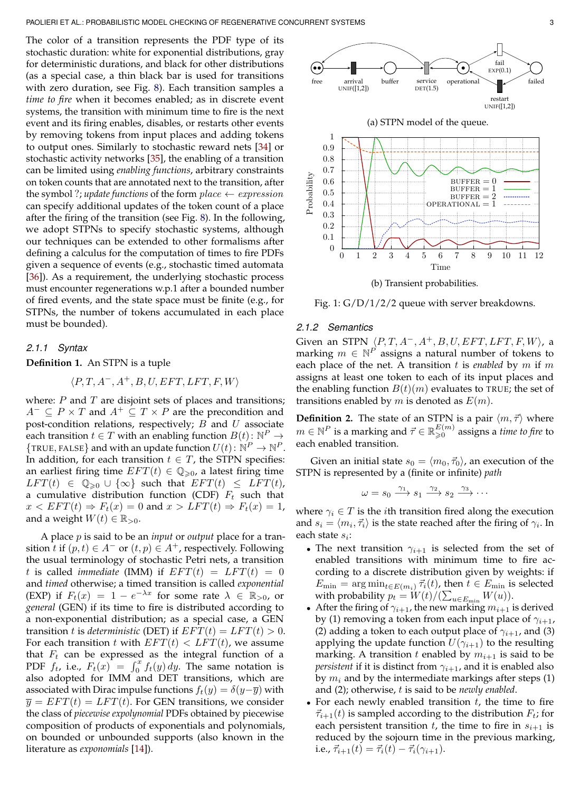The color of a transition represents the PDF type of its stochastic duration: white for exponential distributions, gray for deterministic durations, and black for other distributions (as a special case, a thin black bar is used for transitions with zero duration, see Fig. [8\)](#page-12-0). Each transition samples a *time to fire* when it becomes enabled; as in discrete event systems, the transition with minimum time to fire is the next event and its firing enables, disables, or restarts other events by removing tokens from input places and adding tokens to output ones. Similarly to stochastic reward nets [\[34\]](#page-15-33) or stochastic activity networks [\[35\]](#page-15-34), the enabling of a transition can be limited using *enabling functions*, arbitrary constraints on token counts that are annotated next to the transition, after the symbol ?; *update functions* of the form  $place \leftarrow expression$ can specify additional updates of the token count of a place after the firing of the transition (see Fig. [8\)](#page-12-0). In the following, we adopt STPNs to specify stochastic systems, although our techniques can be extended to other formalisms after defining a calculus for the computation of times to fire PDFs given a sequence of events (e.g., stochastic timed automata [\[36\]](#page-15-35)). As a requirement, the underlying stochastic process must encounter regenerations w.p.1 after a bounded number of fired events, and the state space must be finite (e.g., for STPNs, the number of tokens accumulated in each place must be bounded).

## *2.1.1 Syntax*

**Definition 1.** An STPN is a tuple

 $\langle P, T, A^-, A^+, B, U, EFT, LFT, F, W \rangle$ 

where:  $P$  and  $T$  are disjoint sets of places and transitions;  $A^{-} \subseteq P \times T$  and  $A^{+} \subseteq T \times P$  are the precondition and post-condition relations, respectively;  $B$  and  $U$  associate each transition  $t \in T$  with an enabling function  $B(t): \mathbb{N}^P \to$ {TRUE, FALSE} and with an update function  $U(t)$ :  $\mathbb{N}^P \to \mathbb{N}^P$ . In addition, for each transition  $t \in T$ , the STPN specifies: an earliest firing time  $EFT(t) \in \mathbb{Q}_{\geq 0}$ , a latest firing time  $LFT(t) \in \mathbb{Q}_{\geq 0} \cup \{\infty\}$  such that  $EFT(t) \leq LFT(t)$ , a cumulative distribution function (CDF)  $F_t$  such that  $x < EFT(t) \Rightarrow F_t(x) = 0$  and  $x > LFT(t) \Rightarrow F_t(x) = 1$ , and a weight  $W(t) \in \mathbb{R}_{>0}$ .

A place p is said to be an *input* or *output* place for a transition t if  $(p, t) \in A^-$  or  $(t, p) \in A^+$ , respectively. Following the usual terminology of stochastic Petri nets, a transition t is called *immediate* (IMM) if  $EFT(t) = LFT(t) = 0$ and *timed* otherwise; a timed transition is called *exponential* (EXP) if  $F_t(x) = 1 - e^{-\lambda x}$  for some rate  $\lambda \in \mathbb{R}_{>0}$ , or *general* (GEN) if its time to fire is distributed according to a non-exponential distribution; as a special case, a GEN transition t is *deterministic* (DET) if  $EFT(t) = LFT(t) > 0$ . For each transition t with  $EFT(t) < LFT(t)$ , we assume that  $F_t$  can be expressed as the integral function of a PDF  $f_t$ , i.e.,  $F_t(x) = \int_0^x f_t(y) dy$ . The same notation is also adopted for IMM and DET transitions, which are associated with Dirac impulse functions  $f_t(y) = \delta(y-\overline{y})$  with  $\overline{y} = EFT(t) = LFT(t)$ . For GEN transitions, we consider the class of *piecewise expolynomial* PDFs obtained by piecewise composition of products of exponentials and polynomials, on bounded or unbounded supports (also known in the literature as *exponomials* [\[14\]](#page-15-13)).

<span id="page-2-0"></span>

(b) Transient probabilities.

Fig. 1: G/D/1/2/2 queue with server breakdowns.

## *2.1.2 Semantics*

Given an STPN  $\langle P, T, A^-, A^+, B, U, EFT, LFT, F, W \rangle$ , a marking  $m \in \mathbb{N}^P$  assigns a natural number of tokens to each place of the net. A transition  $t$  is *enabled* by  $m$  if  $m$ assigns at least one token to each of its input places and the enabling function  $B(t)(m)$  evaluates to TRUE; the set of transitions enabled by m is denoted as  $E(m)$ .

**Definition 2.** The state of an STPN is a pair  $\langle m, \vec{\tau} \rangle$  where  $m \in \mathbb{N}^P$  is a marking and  $\vec{\tau} \in \mathbb{R}_{\geqslant 0}^{E(m)}$  assigns a *time to fire* to each enabled transition.

Given an initial state  $s_0 = \langle m_0, \vec{\tau}_0 \rangle$ , an execution of the STPN is represented by a (finite or infinite) *path*

$$
\omega = s_0 \xrightarrow{\gamma_1} s_1 \xrightarrow{\gamma_2} s_2 \xrightarrow{\gamma_3} \cdots
$$

where  $\gamma_i \in T$  is the *i*th transition fired along the execution and  $s_i = \langle m_i, \vec{\tau}_i \rangle$  is the state reached after the firing of  $\gamma_i$ . In each state  $s_i$ :

- The next transition  $\gamma_{i+1}$  is selected from the set of enabled transitions with minimum time to fire according to a discrete distribution given by weights: if  $E_{\min} = \arg \min_{t \in E(m_i)} \vec{\tau}_i(t)$ , then  $t \in E_{\min}$  is selected with probability  $p_t = W(t)/(\sum_{u \in E_{\min}} W(u)).$
- After the firing of  $\gamma_{i+1}$ , the new marking  $m_{i+1}$  is derived by (1) removing a token from each input place of  $\gamma_{i+1}$ , (2) adding a token to each output place of  $\gamma_{i+1}$ , and (3) applying the update function  $U(\gamma_{i+1})$  to the resulting marking. A transition t enabled by  $m_{i+1}$  is said to be *persistent* if it is distinct from  $\gamma_{i+1}$ , and it is enabled also by  $m_i$  and by the intermediate markings after steps (1) and (2); otherwise, t is said to be *newly enabled*.
- For each newly enabled transition  $t$ , the time to fire  $\vec{\tau}_{i+1}(t)$  is sampled according to the distribution  $F_t$ ; for each persistent transition t, the time to fire in  $s_{i+1}$  is reduced by the sojourn time in the previous marking, i.e.,  $\vec{\tau}_{i+1}(t) = \vec{\tau}_i(t) - \vec{\tau}_i(\gamma_{i+1}).$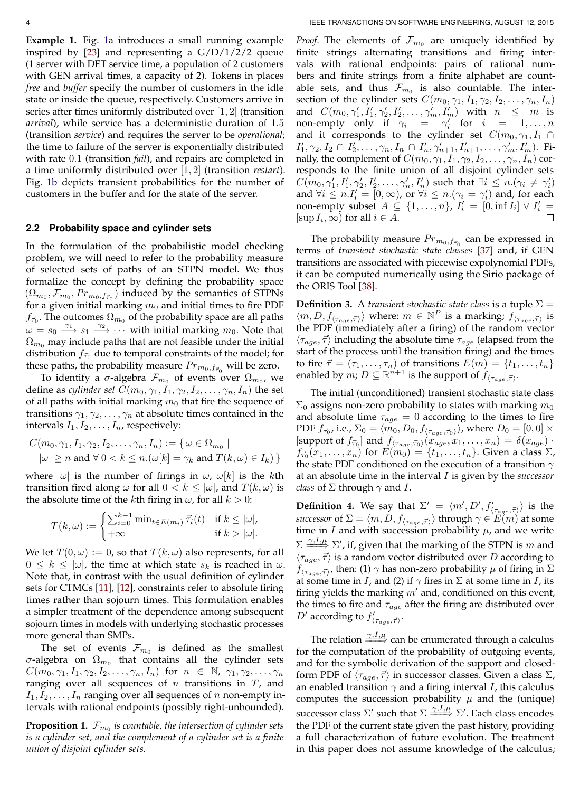**Example 1.** Fig. [1a](#page-2-0) introduces a small running example inspired by  $[23]$  and representing a  $G/D/1/2/2$  queue (1 server with DET service time, a population of 2 customers with GEN arrival times, a capacity of 2). Tokens in places *free* and *buffer* specify the number of customers in the idle state or inside the queue, respectively. Customers arrive in series after times uniformly distributed over  $[1, 2]$  (transition *arrival*), while service has a deterministic duration of 1.5 (transition *service*) and requires the server to be *operational*; the time to failure of the server is exponentially distributed with rate 0.1 (transition *fail*), and repairs are completed in a time uniformly distributed over [1, 2] (transition *restart*). Fig. [1b](#page-2-0) depicts transient probabilities for the number of customers in the buffer and for the state of the server.

### <span id="page-3-0"></span>**2.2 Probability space and cylinder sets**

In the formulation of the probabilistic model checking problem, we will need to refer to the probability measure of selected sets of paths of an STPN model. We thus formalize the concept by defining the probability space  $(\Omega_{m_0}, \mathcal{F}_{m_0}, Pr_{m_0,f_{\vec{\tau}_0}})$  induced by the semantics of STPNs for a given initial marking  $m_0$  and initial times to fire PDF  $f_{\vec{\tau}_{0}}.$  The outcomes  $\Omega_{m_{0}}$  of the probability space are all paths  $\omega = s_0 \stackrel{\gamma_1}{\longrightarrow} s_1 \stackrel{\gamma_2}{\longrightarrow} \cdots$  with initial marking  $m_0$ . Note that  $\Omega_{m_0}$  may include paths that are not feasible under the initial distribution  $f_{\vec{\tau}_0}$  due to temporal constraints of the model; for these paths, the probability measure  ${Pr}_{m_0, f_{\vec{\tau}_0}}$  will be zero.

To identify a  $\sigma$ -algebra  $\mathcal{F}_{m_0}$  of events over  $\Omega_{m_0}$ , we define as *cylinder set*  $C(m_0, \gamma_1, I_1, \gamma_2, I_2, \ldots, \gamma_n, I_n)$  the set of all paths with initial marking  $m_0$  that fire the sequence of transitions  $\gamma_1, \gamma_2, \ldots, \gamma_n$  at absolute times contained in the intervals  $I_1, I_2, \ldots, I_n$ , respectively:

$$
C(m_0, \gamma_1, I_1, \gamma_2, I_2, \dots, \gamma_n, I_n) := \{ \omega \in \Omega_{m_0} \mid
$$
  

$$
|\omega| \ge n \text{ and } \forall \ 0 < k \le n. (\omega[k] = \gamma_k \text{ and } T(k, \omega) \in I_k) \}
$$

where  $|\omega|$  is the number of firings in  $\omega$ ,  $\omega[k]$  is the kth transition fired along  $\omega$  for all  $0 < k \leq |\omega|$ , and  $T(k, \omega)$  is the absolute time of the kth firing in  $\omega$ , for all  $k > 0$ :

$$
T(k,\omega) := \begin{cases} \sum_{i=0}^{k-1} \min_{t \in E(m_i)} \vec{\tau}_i(t) & \text{if } k \leq |\omega|, \\ +\infty & \text{if } k > |\omega|. \end{cases}
$$

We let  $T(0, \omega) := 0$ , so that  $T(k, \omega)$  also represents, for all  $0 \leq k \leq |\omega|$ , the time at which state  $s_k$  is reached in  $\omega$ . Note that, in contrast with the usual definition of cylinder sets for CTMCs [\[11\]](#page-15-10), [\[12\]](#page-15-11), constraints refer to absolute firing times rather than sojourn times. This formulation enables a simpler treatment of the dependence among subsequent sojourn times in models with underlying stochastic processes more general than SMPs.

The set of events  $\mathcal{F}_{m_0}$  is defined as the smallest  $\sigma$ -algebra on  $\Omega_{m_0}$  that contains all the cylinder sets  $C(m_0, \gamma_1, I_1, \gamma_2, I_2, \ldots, \gamma_n, I_n)$  for  $n \in \mathbb{N}$ ,  $\gamma_1, \gamma_2, \ldots, \gamma_n$ ranging over all sequences of  $n$  transitions in  $T$ , and  $I_1, I_2, \ldots, I_n$  ranging over all sequences of n non-empty intervals with rational endpoints (possibly right-unbounded).

**Proposition 1.**  $\mathcal{F}_{m_0}$  is countable, the intersection of cylinder sets *is a cylinder set, and the complement of a cylinder set is a finite union of disjoint cylinder sets.*

*Proof.* The elements of  $\mathcal{F}_{m_0}$  are uniquely identified by finite strings alternating transitions and firing intervals with rational endpoints: pairs of rational numbers and finite strings from a finite alphabet are countable sets, and thus  $\mathcal{F}_{m_0}$  is also countable. The intersection of the cylinder sets  $C(m_0, \gamma_1, I_1, \gamma_2, I_2, \ldots, \gamma_n, I_n)$ and  $C(m_0, \gamma'_1, I'_1, \gamma'_2, I'_2, \ldots, \gamma'_m, I'_m)$  with  $n \leq m$  is non-empty only if  $\gamma_i = \gamma'_i$  for  $i = 1, ..., n$ and it corresponds to the cylinder set  $C(m_0, \gamma_1, I_1 \cap I_2)$  $I'_1, \gamma_2, I_2 \cap I'_2, \ldots, \gamma_n, I_n \cap I'_n, \gamma'_{n+1}, I'_{n+1}, \ldots, \gamma'_m, I'_m$ ). Finally, the complement of  $C(m_0, \gamma_1, I_1, \gamma_2, I_2, \ldots, \gamma_n, I_n)$  corresponds to the finite union of all disjoint cylinder sets  $C(m_0, \gamma_1', I_1', \gamma_2', I_2', \ldots, \gamma_n', I_n')$  such that  $\exists i \leq n.(\gamma_i \neq \gamma_i')$ and  $\forall i \leq n.I'_i = [0, \infty)$ , or  $\forall i \leq n.(\gamma_i = \gamma'_i)$  and, for each non-empty subset  $A \subseteq \{1, ..., n\}$ ,  $I'_i = [0, \inf I_i] \vee I'_i =$  $[\sup I_i, \infty)$  for all  $i \in A$ .

The probability measure  $Pr_{m_0, f_{\vec{\tau}_0}}$  can be expressed in terms of *transient stochastic state classes* [\[37\]](#page-15-36) and, if GEN transitions are associated with piecewise expolynomial PDFs, it can be computed numerically using the Sirio package of the ORIS Tool [\[38\]](#page-15-37).

**Definition 3.** A *transient stochastic state class* is a tuple  $\Sigma$  =  $\langle m, D, f_{\langle \tau_{age}, \vec{\tau} \rangle} \rangle$  where:  $m \in \mathbb{N}^P$  is a marking;  $f_{\langle \tau_{age}, \vec{\tau} \rangle}$  is the PDF (immediately after a firing) of the random vector  $\langle \tau_{age}, \vec{\tau} \rangle$  including the absolute time  $\tau_{age}$  (elapsed from the start of the process until the transition firing) and the times to fire  $\vec{\tau} = (\tau_1, \ldots, \tau_n)$  of transitions  $E(m) = \{t_1, \ldots, t_n\}$ enabled by  $m; D \subseteq \mathbb{R}^{n+1}$  is the support of  $f_{\langle \tau_{age}, \vec{\tau} \rangle}$ .

The initial (unconditioned) transient stochastic state class  $\Sigma_0$  assigns non-zero probability to states with marking  $m_0$ and absolute time  $\tau_{age} = 0$  according to the times to fire PDF  $f_{\vec{\tau}_0}$ , i.e.,  $\Sigma_0 = \langle m_0, D_0, f_{\langle \tau_{age}, \vec{\tau}_0 \rangle} \rangle$ , where  $D_0 = [0, 0] \times$ [support of  $f_{\vec{\tau}_0}$ ] and  $f_{\langle \tau_{age}, \vec{\tau}_0 \rangle}(x_{age}, x_1, \ldots, x_n) = \delta(x_{age})$ .  $f_{\vec{\tau}_0}(x_1,\ldots,x_n)$  for  $E(m_0) = \{t_1,\ldots,t_n\}$ . Given a class  $\Sigma$ , the state PDF conditioned on the execution of a transition  $\gamma$ at an absolute time in the interval I is given by the *successor class* of  $\Sigma$  through  $\gamma$  and I.

**Definition 4.** We say that  $\Sigma' = \langle m', D', f'_{\langle \tau_{age}, \vec{\tau} \rangle} \rangle$  is the *successor* of  $\Sigma = \langle m, D, f_{\langle \tau_{age}, \vec{\tau} \rangle} \rangle$  through  $\gamma \in \bar{E}(m)$  at some time in  $I$  and with succession probability  $\mu$ , and we write  $\Sigma \longrightarrow^{\gamma, I, \mu} \Sigma'$ , if, given that the marking of the STPN is m and  $\langle \tau_{age}, \vec{\tau} \rangle$  is a random vector distributed over D according to  $f_{\langle\tau_{age},\vec{\tau}\rangle}$ , then: (1)  $\gamma$  has non-zero probability  $\mu$  of firing in  $\Sigma$ at some time in I, and (2) if  $\gamma$  fires in  $\Sigma$  at some time in I, its firing yields the marking  $m'$  and, conditioned on this event, the times to fire and  $\tau_{age}$  after the firing are distributed over *D'* according to  $f'_{\langle \tau_{age}, \vec{\tau} \rangle}$ .

The relation  $\frac{\gamma, I, \mu}{\longrightarrow}$  can be enumerated through a calculus for the computation of the probability of outgoing events, and for the symbolic derivation of the support and closedform PDF of  $\langle \tau_{age}, \vec{\tau} \rangle$  in successor classes. Given a class  $\Sigma$ , an enabled transition  $\gamma$  and a firing interval *I*, this calculus computes the succession probability  $\mu$  and the (unique) successor class  $\Sigma'$  such that  $\Sigma \stackrel{\gamma, I, \mu}{\longrightarrow} \Sigma'$ . Each class encodes the PDF of the current state given the past history, providing a full characterization of future evolution. The treatment in this paper does not assume knowledge of the calculus;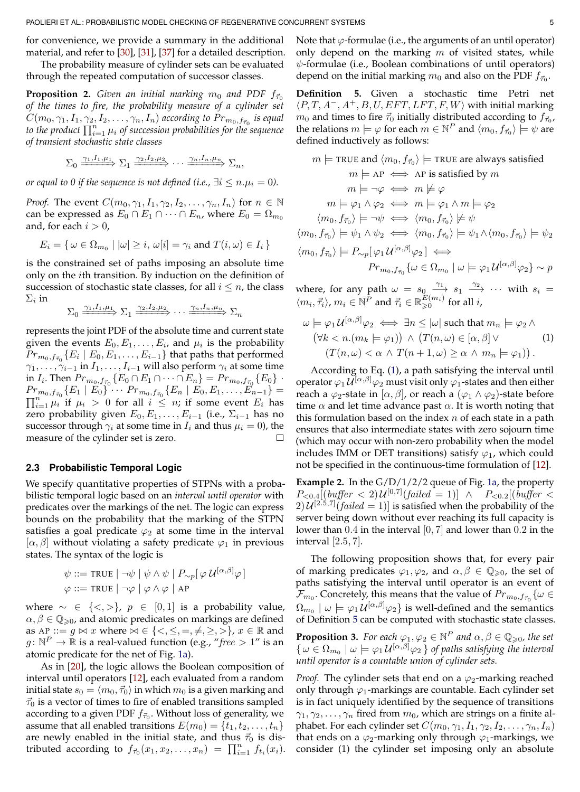for convenience, we provide a summary in the additional material, and refer to [\[30\]](#page-15-29), [\[31\]](#page-15-30), [\[37\]](#page-15-36) for a detailed description.

The probability measure of cylinder sets can be evaluated through the repeated computation of successor classes.

**Proposition 2.** *Given an initial marking*  $m_0$  *and PDF*  $f_{\vec{\tau}_0}$ *of the times to fire, the probability measure of a cylinder set*  $C(m_0, \gamma_1, I_1, \gamma_2, I_2, \ldots, \gamma_n, I_n)$  according to  $Pr_{m_0, f_{\vec{\tau}_0}}$  is equal to the product  $\prod_{i=1}^n \mu_i$  of succession probabilities for the sequence *of transient stochastic state classes*

$$
\Sigma_0 \xrightarrow{\gamma_1, I_1, \mu_1} \Sigma_1 \xrightarrow{\gamma_2, I_2, \mu_2} \cdots \xrightarrow{\gamma_n, I_n, \mu_n} \Sigma_n,
$$

*or equal to 0 if the sequence is not defined (i.e.,*  $\exists i \leq n.\mu_i = 0$ ).

*Proof.* The event  $C(m_0, \gamma_1, I_1, \gamma_2, I_2, \ldots, \gamma_n, I_n)$  for  $n \in \mathbb{N}$ can be expressed as  $E_0 \cap E_1 \cap \cdots \cap E_n$ , where  $E_0 = \Omega_{m_0}$ and, for each  $i > 0$ ,

$$
E_i = \{ \omega \in \Omega_{m_0} \mid |\omega| \ge i, \, \omega[i] = \gamma_i \text{ and } T(i, \omega) \in I_i \}
$$

is the constrained set of paths imposing an absolute time only on the ith transition. By induction on the definition of succession of stochastic state classes, for all  $i \leq n$ , the class  $\Sigma_i$  in

$$
\Sigma_0 \xrightarrow{\gamma_1, I_1, \mu_1} \Sigma_1 \xrightarrow{\gamma_2, I_2, \mu_2} \cdots \xrightarrow{\gamma_n, I_n, \mu_n} \Sigma_n
$$

represents the joint PDF of the absolute time and current state given the events  $E_0, E_1, \ldots, E_i$ , and  $\mu_i$  is the probability  $Pr_{m_0, f_{\vec{\tau}_0}}\{E_i \mid E_0, E_1, \ldots, E_{i-1}\}$  that paths that performed  $\gamma_1, \ldots, \gamma_{i-1}$  in  $I_1, \ldots, I_{i-1}$  will also perform  $\gamma_i$  at some time in  $I_i$ . Then  $Pr_{m_0, f_{\vec{\tau}_0}}\{E_0 \cap E_1 \cap \cdots \cap E_n\} = Pr_{m_0, f_{\vec{\tau}_0}}\{E_0\}$ .  $Pr_{m_0, f_{\vec{\tau}_0}}\{E_1 \mid E_0\} \cdots Pr_{m_0, f_{\vec{\tau}_0}}\{E_n \mid E_0, E_1, \ldots, E_{n-1}\} = \prod_{i=1}^n \mu_i$  if  $\mu_i > 0$  for all  $i \leq n$ ; if some event  $E_i$  has zero probability given  $E_0, E_1, \ldots, E_{i-1}$  (i.e.,  $\Sigma_{i-1}$  has no successor through  $\gamma_i$  at some time in  $I_i$  and thus  $\mu_i = 0$ ), the measure of the cylinder set is zero. □

#### <span id="page-4-3"></span>**2.3 Probabilistic Temporal Logic**

We specify quantitative properties of STPNs with a probabilistic temporal logic based on an *interval until operator* with predicates over the markings of the net. The logic can express bounds on the probability that the marking of the STPN satisfies a goal predicate  $\varphi_2$  at some time in the interval  $[\alpha, \beta]$  without violating a safety predicate  $\varphi_1$  in previous states. The syntax of the logic is

$$
\psi ::= \text{TRUE} \mid \neg \psi \mid \psi \land \psi \mid P_{\sim p} [\varphi \text{ } \mathcal{U}^{[\alpha,\beta]} \varphi]
$$

$$
\varphi ::= \text{TRUE} \mid \neg \varphi \mid \varphi \land \varphi \mid \text{AP}
$$

where  $∼ ∈ {<, >}$ ,  $p ∈ [0,1]$  is a probability value,  $\alpha, \beta \in \mathbb{Q}_{\geqslant 0}$ , and atomic predicates on markings are defined as AP ::=  $g \bowtie x$  where  $\bowtie \in \{<, \leq, =, \neq, \geq, >\}, x \in \mathbb{R}$  and  $g \colon \mathbb{N}^P \to \mathbb{R}$  is a real-valued function (e.g., "free  $> 1$ " is an atomic predicate for the net of Fig. [1a\)](#page-2-0).

As in [\[20\]](#page-15-19), the logic allows the Boolean composition of interval until operators [\[12\]](#page-15-11), each evaluated from a random initial state  $s_0 = \langle m_0, \vec{\tau}_0 \rangle$  in which  $m_0$  is a given marking and  $\vec{\tau}_0$  is a vector of times to fire of enabled transitions sampled according to a given PDF  $f_{\vec{\tau}_0}.$  Without loss of generality, we assume that all enabled transitions  $E(m_0) = \{t_1, t_2, \ldots, t_n\}$ are newly enabled in the initial state, and thus  $\vec{\tau}_0$  is distributed according to  $f_{\vec{\tau}_0}(x_1, x_2, \ldots, x_n) = \prod_{i=1}^n f_{t_i}(x_i)$ . Note that  $\varphi$ -formulae (i.e., the arguments of an until operator) only depend on the marking  $m$  of visited states, while  $\psi$ -formulae (i.e., Boolean combinations of until operators) depend on the initial marking  $m_0$  and also on the PDF  $f_{\vec{\tau}_0}.$ 

<span id="page-4-1"></span>**Definition 5.** Given a stochastic time Petri net  $\langle P, T, A^-, A^+, B, U, EFT, LFT, F, W \rangle$  with initial marking  $m_0$  and times to fire  $\vec{\tau}_0$  initially distributed according to  $f_{\vec{\tau}_0}$ , the relations  $m \models \varphi$  for each  $m \in \mathbb{N}^P$  and  $\langle m_0, f_{\vec{\tau}_0} \rangle \models \psi$  are defined inductively as follows:

$$
m \models \text{TRUE and } \langle m_0, f_{\vec{\tau}_0} \rangle \models \text{TRUE are always satisfied} \n m \models \text{AP} \iff \text{AP is satisfied by } m \n m \models \neg \varphi \iff m \not\models \varphi \n m \models \varphi_1 \land \varphi_2 \iff m \models \varphi_1 \land m \models \varphi_2 \n \langle m_0, f_{\vec{\tau}_0} \rangle \models \neg \psi \iff \langle m_0, f_{\vec{\tau}_0} \rangle \not\models \psi \n \langle m_0, f_{\vec{\tau}_0} \rangle \models \psi_1 \land \psi_2 \iff \langle m_0, f_{\vec{\tau}_0} \rangle \models \psi_1 \land \langle m_0, f_{\vec{\tau}_0} \rangle \models \psi_2 \n \langle m_0, f_{\vec{\tau}_0} \rangle \models P_{\sim p}[\varphi_1 \mathcal{U}^{[\alpha,\beta]} \varphi_2] \iff \n Pr_{m_0, f_{\vec{\tau}_0}} \{ \omega \in \Omega_{m_0} \mid \omega \models \varphi_1 \mathcal{U}^{[\alpha,\beta]} \varphi_2 \} \sim p
$$

where, for any path  $\omega = s_0 \frac{\gamma_1}{F(\gamma_1)} s_1 \frac{\gamma_2}{\gamma_1} \cdots$  with  $s_i =$  $\langle m_i, \vec{\tau}_i \rangle$ ,  $m_i \in \mathbb{N}^{\bar{P}}$  and  $\vec{\tau}_i \in \mathbb{R}_{\geqslant 0}^{E(m_i)}$  for all  $i$ ,

<span id="page-4-0"></span>
$$
\omega \models \varphi_1 \mathcal{U}^{[\alpha,\beta]} \varphi_2 \iff \exists n \le |\omega| \text{ such that } m_n \models \varphi_2 \land
$$
  

$$
(\forall k < n. (m_k \models \varphi_1)) \land (T(n,\omega) \in [\alpha,\beta] \lor \qquad (1)
$$
  

$$
(T(n,\omega) < \alpha \land T(n+1,\omega) \ge \alpha \land m_n \models \varphi_1)).
$$

According to Eq. [\(1\)](#page-4-0), a path satisfying the interval until operator  $\varphi_1 \overline{U}^{[\alpha,\beta]} \varphi_2$  must visit only  $\varphi_1$ -states and then either reach a  $\varphi_2$ -state in  $[\alpha, \beta]$ , or reach a  $(\varphi_1 \land \varphi_2)$ -state before time  $\alpha$  and let time advance past  $\alpha$ . It is worth noting that this formulation based on the index  $n$  of each state in a path ensures that also intermediate states with zero sojourn time (which may occur with non-zero probability when the model includes IMM or DET transitions) satisfy  $\varphi_1$ , which could not be specified in the continuous-time formulation of [\[12\]](#page-15-11).

<span id="page-4-2"></span>**Example 2.** In the G/D/1/2/2 queue of Fig. [1a,](#page-2-0) the property  $P_{\leq 0.4}[(buffer < 2)U^{[0,7]}(failed = 1)] \wedge P_{\leq 0.2}[(buffer <$  $2) \mathcal{U}^{[2,5,7]}$  (*failed* = 1)] is satisfied when the probability of the server being down without ever reaching its full capacity is lower than 0.4 in the interval [0, 7] and lower than 0.2 in the interval [2.5, 7].

The following proposition shows that, for every pair of marking predicates  $\varphi_1, \varphi_2$ , and  $\alpha, \beta \in \mathbb{Q}_{\geq 0}$ , the set of paths satisfying the interval until operator is an event of  $\mathcal{F}_{m_0}.$  Concretely, this means that the value of  ${Pr}_{m_0,f_{\vec{\tau}_0}}\{\omega\in\mathcal{F}_0\}$  $\Omega_{m_0}\mid \omega \models \varphi_1 \, \mathcal{U}^{[\alpha,\beta]} \varphi_2\}$  is well-defined and the semantics of Definition [5](#page-4-1) can be computed with stochastic state classes.

**Proposition 3.** *For each*  $\varphi_1, \varphi_2 \in \mathbb{N}^P$  *and*  $\alpha, \beta \in \mathbb{Q}_{\geqslant 0}$ *, the set*  $\{\omega \in \Omega_{m_0} \mid \omega \models \varphi_1 \mathcal{U}^{[\alpha,\beta]} \varphi_2\}$  of paths satisfying the interval *until operator is a countable union of cylinder sets.*

*Proof.* The cylinder sets that end on a  $\varphi_2$ -marking reached only through  $\varphi_1$ -markings are countable. Each cylinder set is in fact uniquely identified by the sequence of transitions  $\gamma_1, \gamma_2, \ldots, \gamma_n$  fired from  $m_0$ , which are strings on a finite alphabet. For each cylinder set  $C(m_0, \gamma_1, I_1, \gamma_2, I_2, \ldots, \gamma_n, I_n)$ that ends on a  $\varphi_2$ -marking only through  $\varphi_1$ -markings, we consider (1) the cylinder set imposing only an absolute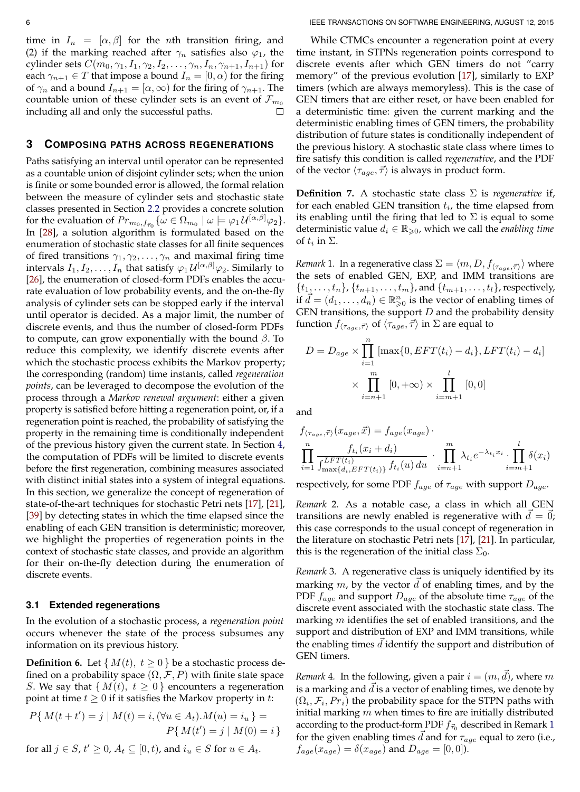time in  $I_n = [\alpha, \beta]$  for the *n*th transition firing, and (2) if the marking reached after  $\gamma_n$  satisfies also  $\varphi_1$ , the cylinder sets  $C(m_0, \gamma_1, I_1, \gamma_2, I_2, \ldots, \gamma_n, I_n, \gamma_{n+1}, I_{n+1})$  for each  $\gamma_{n+1} \in T$  that impose a bound  $I_n = [0, \alpha)$  for the firing of  $\gamma_n$  and a bound  $I_{n+1} = [\alpha, \infty)$  for the firing of  $\gamma_{n+1}$ . The countable union of these cylinder sets is an event of  $\mathcal{F}_{m_0}$ <br>including all and only the successful paths including all and only the successful paths.

## <span id="page-5-0"></span>**3 COMPOSING PATHS ACROSS REGENERATIONS**

Paths satisfying an interval until operator can be represented as a countable union of disjoint cylinder sets; when the union is finite or some bounded error is allowed, the formal relation between the measure of cylinder sets and stochastic state classes presented in Section [2.2](#page-3-0) provides a concrete solution for the evaluation of  $Pr_{m_0, f_{\vec{\tau}_0}}\{\omega \in \Omega_{m_0} \mid \omega \models \varphi_1 \mathcal{U}^{[\alpha, \beta]} \varphi_2\}.$ In [\[28\]](#page-15-27), a solution algorithm is formulated based on the enumeration of stochastic state classes for all finite sequences of fired transitions  $\gamma_1, \gamma_2, \ldots, \gamma_n$  and maximal firing time intervals  $I_1, I_2, \ldots, I_n$  that satisfy  $\varphi_1 \mathcal{U}^{[\alpha,\beta]} \varphi_2$ . Similarly to [\[26\]](#page-15-25), the enumeration of closed-form PDFs enables the accurate evaluation of low probability events, and the on-the-fly analysis of cylinder sets can be stopped early if the interval until operator is decided. As a major limit, the number of discrete events, and thus the number of closed-form PDFs to compute, can grow exponentially with the bound  $\beta$ . To reduce this complexity, we identify discrete events after which the stochastic process exhibits the Markov property; the corresponding (random) time instants, called *regeneration points*, can be leveraged to decompose the evolution of the process through a *Markov renewal argument*: either a given property is satisfied before hitting a regeneration point, or, if a regeneration point is reached, the probability of satisfying the property in the remaining time is conditionally independent of the previous history given the current state. In Section [4,](#page-7-0) the computation of PDFs will be limited to discrete events before the first regeneration, combining measures associated with distinct initial states into a system of integral equations. In this section, we generalize the concept of regeneration of state-of-the-art techniques for stochastic Petri nets [\[17\]](#page-15-16), [\[21\]](#page-15-20), [\[39\]](#page-15-38) by detecting states in which the time elapsed since the enabling of each GEN transition is deterministic; moreover, we highlight the properties of regeneration points in the context of stochastic state classes, and provide an algorithm for their on-the-fly detection during the enumeration of discrete events.

## **3.1 Extended regenerations**

In the evolution of a stochastic process, a *regeneration point* occurs whenever the state of the process subsumes any information on its previous history.

**Definition 6.** Let  $\{M(t), t \ge 0\}$  be a stochastic process defined on a probability space  $(\Omega, \mathcal{F}, P)$  with finite state space *S*. We say that  $\{M(t), t \geq 0\}$  encounters a regeneration point at time  $t \geq 0$  if it satisfies the Markov property in t:

$$
P\{M(t+t') = j \mid M(t) = i, (\forall u \in A_t).M(u) = i_u\} =
$$
  

$$
P\{M(t') = j \mid M(0) = i\}
$$
  
for all  $j \in S, t' \ge 0, A_t \subseteq [0, t)$ , and  $i_u \in S$  for  $u \in A_t$ .

While CTMCs encounter a regeneration point at every time instant, in STPNs regeneration points correspond to discrete events after which GEN timers do not "carry memory" of the previous evolution [\[17\]](#page-15-16), similarly to EXP timers (which are always memoryless). This is the case of GEN timers that are either reset, or have been enabled for a deterministic time: given the current marking and the deterministic enabling times of GEN timers, the probability distribution of future states is conditionally independent of the previous history. A stochastic state class where times to fire satisfy this condition is called *regenerative*, and the PDF of the vector  $\langle \tau_{age}, \vec{\tau} \rangle$  is always in product form.

**Definition 7.** A stochastic state class Σ is *regenerative* if, for each enabled GEN transition  $t_i$ , the time elapsed from its enabling until the firing that led to  $\Sigma$  is equal to some deterministic value  $d_i \in \mathbb{R}_{\geqslant 0}$ , which we call the *enabling time* of  $t_i$  in  $\Sigma$ .

<span id="page-5-1"></span>*Remark* 1. In a regenerative class  $\Sigma = \langle m, D, f_{\langle \tau_{age}, \vec{\tau} \rangle} \rangle$  where the sets of enabled GEN, EXP, and IMM transitions are  $\{t_1,\ldots,t_n\}$ ,  $\{t_{n+1},\ldots,t_m\}$ , and  $\{t_{m+1},\ldots,t_l\}$ , respectively, if  $\vec{d} = (d_1, \ldots, d_n) \in \mathbb{R}_{\geqslant 0}^n$  is the vector of enabling times of GEN transitions, the support  $D$  and the probability density function  $f_{\langle \tau_{age}, \vec{\tau} \rangle}$  of  $\langle \tau_{age}, \vec{\tau} \rangle$  in  $\Sigma$  are equal to

$$
D = D_{age} \times \prod_{i=1}^{n} [\max\{0, EFT(t_i) - d_i\}, LFT(t_i) - d_i]
$$

$$
\times \prod_{i=n+1}^{m} [0, +\infty) \times \prod_{i=m+1}^{l} [0, 0]
$$

and

$$
f_{\langle \tau_{age}, \vec{\tau} \rangle}(x_{age}, \vec{x}) = f_{age}(x_{age}) \cdot
$$

$$
\prod_{i=1}^{n} \frac{f_{t_i}(x_i + d_i)}{\int_{\max\{d_i, EFT(t_i)\}} f_{t_i}(u) du} \cdot \prod_{i=n+1}^{m} \lambda_{t_i} e^{-\lambda_{t_i} x_i} \cdot \prod_{i=m+1}^{l} \delta(x_i)
$$

respectively, for some PDF  $f_{age}$  of  $\tau_{age}$  with support  $D_{age}$ .

*Remark* 2*.* As a notable case, a class in which all GEN transitions are newly enabled is regenerative with  $d = 0$ ; this case corresponds to the usual concept of regeneration in the literature on stochastic Petri nets [\[17\]](#page-15-16), [\[21\]](#page-15-20). In particular, this is the regeneration of the initial class  $\Sigma_0$ .

<span id="page-5-2"></span>*Remark* 3*.* A regenerative class is uniquely identified by its marking  $m$ , by the vector  $d$  of enabling times, and by the PDF  $f_{age}$  and support  $D_{age}$  of the absolute time  $\tau_{age}$  of the discrete event associated with the stochastic state class. The marking  $m$  identifies the set of enabled transitions, and the support and distribution of EXP and IMM transitions, while the enabling times  $d$  identify the support and distribution of GEN timers.

<span id="page-5-3"></span>*Remark* 4. In the following, given a pair  $i = (m, d)$ , where m is a marking and  $d$  is a vector of enabling times, we denote by  $(\Omega_i, \mathcal{F}_i, Pr_i)$  the probability space for the STPN paths with initial marking  $m$  when times to fire are initially distributed according to the product-form PDF  $f_{\vec{\tau}_0}$  described in Remark [1](#page-5-1) for the given enabling times  $d$  and for  $\tau_{age}$  equal to zero (i.e.,  $f_{age}(x_{age}) = \delta(x_{age})$  and  $D_{age} = [0, 0]$ ).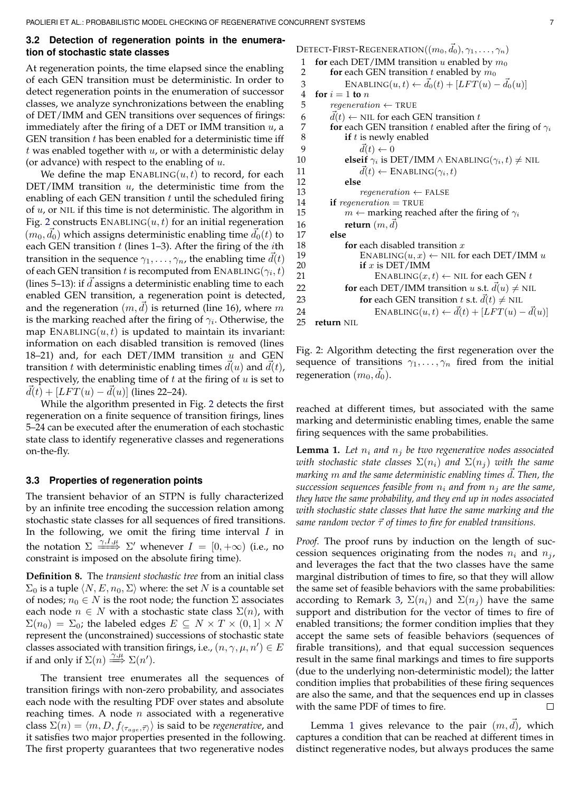## **3.2 Detection of regeneration points in the enumeration of stochastic state classes**

At regeneration points, the time elapsed since the enabling of each GEN transition must be deterministic. In order to detect regeneration points in the enumeration of successor classes, we analyze synchronizations between the enabling of DET/IMM and GEN transitions over sequences of firings: immediately after the firing of a DET or IMM transition  $u$ , a GEN transition  $t$  has been enabled for a deterministic time iff  $t$  was enabled together with  $u$ , or with a deterministic delay (or advance) with respect to the enabling of  $u$ .

We define the map  $\text{ENABILITY}(u, t)$  to record, for each  $DEF/IMM$  transition  $u$ , the deterministic time from the enabling of each GEN transition  $t$  until the scheduled firing of  $u$ , or NIL if this time is not deterministic. The algorithm in Fig. [2](#page-6-0) constructs  $ENABILITY(u, t)$  for an initial regeneration  $(m_0, \vec{d}_0)$  which assigns deterministic enabling time  $\vec{d}_0(t)$  to each GEN transition  $t$  (lines 1-3). After the firing of the *i*th transition in the sequence  $\gamma_1, \ldots, \gamma_n$ , the enabling time  $d(t)$ of each GEN transition  $t$  is recomputed from ENABLING $(\gamma_i,t)$ (lines 5–13): if  $\overrightarrow{d}$  assigns a deterministic enabling time to each enabled GEN transition, a regeneration point is detected, and the regeneration  $(m, d)$  is returned (line 16), where m is the marking reached after the firing of  $\gamma_i.$  Otherwise, the map  $ENABILITY(u, t)$  is updated to maintain its invariant: information on each disabled transition is removed (lines 18–21) and, for each DET/IMM transition  $u$  and GEN transition t with deterministic enabling times  $d(u)$  and  $d(t)$ , respectively, the enabling time of  $t$  at the firing of  $u$  is set to  $d(t) + [LFT(u) - d(u)]$  (lines 22–24).

While the algorithm presented in Fig. [2](#page-6-0) detects the first regeneration on a finite sequence of transition firings, lines 5–24 can be executed after the enumeration of each stochastic state class to identify regenerative classes and regenerations on-the-fly.

#### **3.3 Properties of regeneration points**

The transient behavior of an STPN is fully characterized by an infinite tree encoding the succession relation among stochastic state classes for all sequences of fired transitions. In the following, we omit the firing time interval  $I$  in the notation  $\Sigma \stackrel{\gamma, I, \mu}{\longrightarrow} \Sigma'$  whenever  $I = [0, +\infty)$  (i.e., no constraint is imposed on the absolute firing time).

**Definition 8.** The *transient stochastic tree* from an initial class  $\Sigma_0$  is a tuple  $\langle N, E, n_0, \Sigma \rangle$  where: the set N is a countable set of nodes;  $n_0 \in N$  is the root node; the function  $\Sigma$  associates each node  $n \in N$  with a stochastic state class  $\Sigma(n)$ , with  $\Sigma(n_0) = \Sigma_0$ ; the labeled edges  $E \subseteq N \times T \times (0,1] \times N$ represent the (unconstrained) successions of stochastic state classes associated with transition firings, i.e.,  $(n, \gamma, \mu, n') \in E$ if and only if  $\Sigma(n) \stackrel{\gamma,\mu}{\Longrightarrow} \Sigma(n').$ 

The transient tree enumerates all the sequences of transition firings with non-zero probability, and associates each node with the resulting PDF over states and absolute reaching times. A node  $n$  associated with a regenerative class  $\Sigma(n) = \langle m, D, f_{\langle \tau_{age}, \vec{\tau} \rangle} \rangle$  is said to be *regenerative*, and it satisfies two major properties presented in the following. The first property guarantees that two regenerative nodes

<span id="page-6-0"></span>DETECT-FIRST-REGENERATION $((m_0, \vec{d}_0), \gamma_1, \ldots, \gamma_n)$ 1 **for** each DET/IMM transition *u* enabled by  $m_0$ <br>2 **for** each GEN transition *t* enabled by  $m_0$ 

for each GEN transition  $t$  enabled by  $m_0$ 3 ENABLING $(u, t) \leftarrow d_0(t) + [LFT(u) - d_0(u)]$ <br>4 for  $i = 1$  to n for  $i = 1$  to  $n$ 5 regeneration  $\leftarrow$  TRUE 6  $d(t)$  ← NIL for each GEN transition t<br>7 **for** each GEN transition t enabled aft **7 for** each GEN transition *t* enabled after the firing of  $\gamma_i$  **if** *t* is newly enabled **if**  $t$  is newly enabled 9  $\vec{d}(t) \leftarrow 0$ <br>10 **elseif**  $\gamma_i$  is L **elseif**  $\gamma_i$  is DET/IMM  $\land$  ENABLING $(\gamma_i, t) \neq$  NIL 11  $d(t) \leftarrow \text{ENABILITY}(\gamma_i, t)$ 12 **else**  $regeneration \leftarrow$  FALSE 14 **if** regeneration = TRUE 15  $m \leftarrow$  marking reached after the firing of  $\gamma_i$ 16 **return**  $(m, d)$ <br>17 **else** 17 **else** for each disabled transition  $x$ 19 ENABLING $(u, x) \leftarrow$  NIL for each DET/IMM u 20 **if** x is DET/IMM<br>21 **ENABLING** $(x, y)$ ENABLING $(x, t) \leftarrow$  NIL for each GEN t 22 **for** each DET/IMM transition u s.t.  $\vec{d}(u) \neq \text{NIL}$ 23 **for** each GEN transition t s.t.  $\vec{d}(t) \neq \text{NIL}$ 24 ENABLING $(u, t) \leftarrow \vec{d}(t) + [LFT(u) - \vec{d}(u)]$ 25 **return** NIL

Fig. 2: Algorithm detecting the first regeneration over the sequence of transitions  $\gamma_1, \ldots, \gamma_n$  fired from the initial regeneration  $(m_0, \vec{d}_0)$ .

reached at different times, but associated with the same marking and deterministic enabling times, enable the same firing sequences with the same probabilities.

<span id="page-6-1"></span>**Lemma 1.** Let  $n_i$  and  $n_j$  be two regenerative nodes associated *with stochastic state classes*  $\Sigma(n_i)$  *and*  $\Sigma(n_j)$  *with the same marking m* and the same deterministic enabling times d. Then, the *succession sequences feasible from*  $n_i$  *and from*  $n_j$  *are the same, they have the same probability, and they end up in nodes associated with stochastic state classes that have the same marking and the same random vector*  $\vec{\tau}$  *of times to fire for enabled transitions.* 

*Proof.* The proof runs by induction on the length of succession sequences originating from the nodes  $n_i$  and  $n_j$ , and leverages the fact that the two classes have the same marginal distribution of times to fire, so that they will allow the same set of feasible behaviors with the same probabilities: according to Remark [3,](#page-5-2)  $\Sigma(n_i)$  and  $\Sigma(n_j)$  have the same support and distribution for the vector of times to fire of enabled transitions; the former condition implies that they accept the same sets of feasible behaviors (sequences of firable transitions), and that equal succession sequences result in the same final markings and times to fire supports (due to the underlying non-deterministic model); the latter condition implies that probabilities of these firing sequences are also the same, and that the sequences end up in classes with the same PDF of times to fire.

Lemma [1](#page-6-1) gives relevance to the pair  $(m, d)$ , which captures a condition that can be reached at different times in distinct regenerative nodes, but always produces the same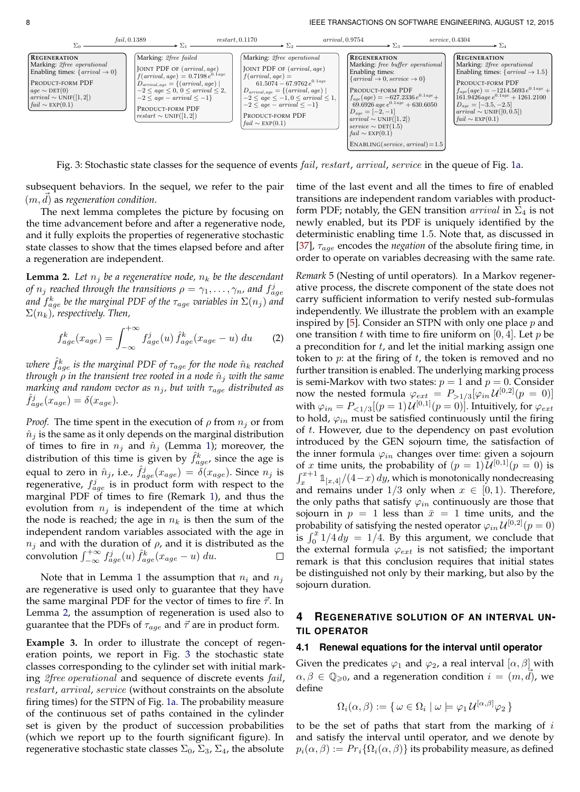<span id="page-7-2"></span>

Fig. 3: Stochastic state classes for the sequence of events *fail, restart, arrival, service* in the queue of Fig. [1a.](#page-2-0)

subsequent behaviors. In the sequel, we refer to the pair  $(m, d)$  as *regeneration condition*.

The next lemma completes the picture by focusing on the time advancement before and after a regenerative node, and it fully exploits the properties of regenerative stochastic state classes to show that the times elapsed before and after a regeneration are independent.

<span id="page-7-1"></span>**Lemma 2.** Let  $n_i$  be a regenerative node,  $n_k$  be the descendant *of*  $n_j$  *reached through the transitions*  $\rho = \gamma_1, \ldots, \gamma_n$ *, and*  $f_{age}^j$ and  $f_{age}^k$  be the marginal PDF of the  $\tau_{age}$  variables in  $\Sigma(n_j)$  and  $\Sigma(n_k)$ , respectively. Then,

$$
f_{age}^k(x_{age}) = \int_{-\infty}^{+\infty} f_{age}^j(u) \hat{f}_{age}^k(x_{age} - u) \, du \tag{2}
$$

where  $\hat{f}^k_{age}$  is the marginal PDF of  $\tau_{age}$  for the node  $\hat{n}_k$  reached *through*  $\rho$  *in the transient tree rooted in a node*  $\hat{n}_j$  *with the same marking and random vector as* n<sup>j</sup> *, but with* τage *distributed as*  $\hat{f}_{age}^j(x_{age}) = \delta(x_{age}).$ 

*Proof.* The time spent in the execution of  $\rho$  from  $n_j$  or from  $\hat{n}_i$  is the same as it only depends on the marginal distribution of times to fire in  $n_j$  and  $\hat{n}_j$  (Lemma [1\)](#page-6-1); moreover, the distribution of this time is given by  $\hat{f}_{age}^k$ , since the age is equal to zero in  $\hat n_j$ , i.e.,  $\hat f^j_{age}(x_{age})\,=\,\delta(x_{age}).$  Since  $n_j$  is regenerative,  $f_{age}^{j}$  is in product form with respect to the marginal PDF of times to fire (Remark [1\)](#page-5-1), and thus the evolution from  $n_j$  is independent of the time at which the node is reached; the age in  $n_k$  is then the sum of the independent random variables associated with the age in  $n_i$  and with the duration of  $\rho$ , and it is distributed as the convolution  $\int_{-\infty}^{+\infty} f_{age}^j(u) \hat{f}_{age}^k(x_{age} - u) du$ .

Note that in Lemma [1](#page-6-1) the assumption that  $n_i$  and  $n_j$ are regenerative is used only to guarantee that they have the same marginal PDF for the vector of times to fire  $\vec{\tau}$ . In Lemma [2,](#page-7-1) the assumption of regeneration is used also to guarantee that the PDFs of  $\tau_{age}$  and  $\vec{\tau}$  are in product form.

**Example 3.** In order to illustrate the concept of regeneration points, we report in Fig. [3](#page-7-2) the stochastic state classes corresponding to the cylinder set with initial marking 2free operational and sequence of discrete events fail, restart, arrival, service (without constraints on the absolute firing times) for the STPN of Fig. [1a.](#page-2-0) The probability measure of the continuous set of paths contained in the cylinder set is given by the product of succession probabilities (which we report up to the fourth significant figure). In regenerative stochastic state classes  $\Sigma_0$ ,  $\Sigma_3$ ,  $\Sigma_4$ , the absolute

time of the last event and all the times to fire of enabled transitions are independent random variables with productform PDF; notably, the GEN transition  $arrival$  in  $\Sigma_4$  is not newly enabled, but its PDF is uniquely identified by the deterministic enabling time 1.5. Note that, as discussed in [\[37\]](#page-15-36),  $\tau_{age}$  encodes the *negation* of the absolute firing time, in order to operate on variables decreasing with the same rate.

*Remark* 5 (Nesting of until operators)*.* In a Markov regenerative process, the discrete component of the state does not carry sufficient information to verify nested sub-formulas independently. We illustrate the problem with an example inspired by [\[5\]](#page-15-4). Consider an STPN with only one place  $p$  and one transition t with time to fire uniform on [0, 4]. Let  $p$  be a precondition for  $t$ , and let the initial marking assign one token to  $p$ : at the firing of  $t$ , the token is removed and no further transition is enabled. The underlying marking process is semi-Markov with two states:  $p = 1$  and  $p = 0$ . Consider now the nested formula  $\varphi_{ext} = P_{>1/3}[\varphi_{in} \mathcal{U}^{[0,2]}(p=0)]$ with  $\varphi_{in} = P_{\leq 1/3} [(p = 1) \mathcal{U}^{[0,1]}(p = 0)].$  Intuitively, for  $\varphi_{ext}$ to hold,  $\varphi$ <sub>in</sub> must be satisfied continuously until the firing of t. However, due to the dependency on past evolution introduced by the GEN sojourn time, the satisfaction of the inner formula  $\varphi_{in}$  changes over time: given a sojourn of x time units, the probability of  $(p = 1) \overline{\mathcal{U}}^{[0,1]}(p = 0)$  is  $\int_x^{x+1} \mathbb{1}_{[x,4]}/(4-x) \, dy$ , which is monotonically nondecreasing and remains under  $1/3$  only when  $x \in [0,1)$ . Therefore, the only paths that satisfy  $\varphi$ <sub>in</sub> continuously are those that sojourn in  $p = 1$  less than  $\bar{x} = 1$  time units, and the probability of satisfying the nested operator  $\varphi_{in} \mathcal{U}^{[0,2]}(p=0)$ is  $\int_0^{\bar{x}} 1/4 \, dy = 1/4$ . By this argument, we conclude that the external formula  $\varphi_{ext}$  is not satisfied; the important remark is that this conclusion requires that initial states be distinguished not only by their marking, but also by the sojourn duration.

## <span id="page-7-0"></span>**4 REGENERATIVE SOLUTION OF AN INTERVAL UN-TIL OPERATOR**

### **4.1 Renewal equations for the interval until operator**

Given the predicates  $\varphi_1$  and  $\varphi_2$ , a real interval  $[\alpha, \beta]$  with  $\alpha, \beta \in \mathbb{Q}_{\geq 0}$ , and a regeneration condition  $i = (m, d)$ , we define

$$
\Omega_i(\alpha,\beta) := \{ \omega \in \Omega_i \mid \omega \models \varphi_1 \mathcal{U}^{[\alpha,\beta]} \varphi_2 \}
$$

to be the set of paths that start from the marking of  $i$ and satisfy the interval until operator, and we denote by  $p_i(\alpha, \beta) := Pr_i\{\Omega_i(\alpha, \beta)\}\$ its probability measure, as defined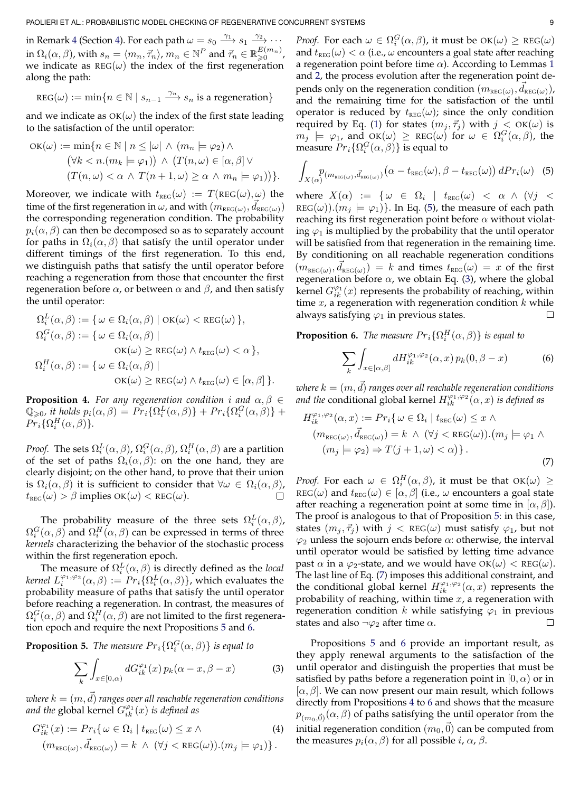in Remark [4](#page-5-3) (Section [4\)](#page-7-0). For each path  $\omega = s_0 \stackrel{\gamma_1}{\longrightarrow} s_1 \stackrel{\gamma_2}{\longrightarrow} \cdots$ in  $\Omega_i(\alpha,\beta)$ , with  $s_n = \langle m_n, \vec{\tau}_n \rangle$ ,  $m_n \in \mathbb{N}^P$  and  $\vec{\tau}_n \in \mathbb{R}_{\geqslant 0}^{E(m_n)}$ , we indicate as  $REG(\omega)$  the index of the first regeneration along the path:

$$
REG(\omega) := \min\{n \in \mathbb{N} \mid s_{n-1} \xrightarrow{\gamma_n} s_n \text{ is a regeneration}\}
$$

and we indicate as  $OK(\omega)$  the index of the first state leading to the satisfaction of the until operator:

$$
OK(\omega) := \min\{n \in \mathbb{N} \mid n \leq |\omega| \land (m_n \models \varphi_2) \land
$$

$$
(\forall k < n.(m_k \models \varphi_1)) \land (T(n, \omega) \in [\alpha, \beta] \lor
$$

$$
(T(n, \omega) < \alpha \land T(n+1, \omega) \geq \alpha \land m_n \models \varphi_1))\}.
$$

Moreover, we indicate with  $t_{\text{REG}}(\omega) := T(\text{REG}(\omega), \omega)$  the time of the first regeneration in  $\omega$ , and with  $(m_{\texttt{REG}(\omega)}, \vec{d}_{\texttt{REG}(\omega)})$ the corresponding regeneration condition. The probability  $p_i(\alpha, \beta)$  can then be decomposed so as to separately account for paths in  $\Omega_i(\alpha, \beta)$  that satisfy the until operator under different timings of the first regeneration. To this end, we distinguish paths that satisfy the until operator before reaching a regeneration from those that encounter the first regeneration before  $\alpha$ , or between  $\alpha$  and  $\beta$ , and then satisfy the until operator:

$$
\Omega_i^L(\alpha, \beta) := \{ \omega \in \Omega_i(\alpha, \beta) \mid \text{OK}(\omega) < \text{REG}(\omega) \},
$$
\n
$$
\Omega_i^G(\alpha, \beta) := \{ \omega \in \Omega_i(\alpha, \beta) \mid
$$
\n
$$
\text{OK}(\omega) \geq \text{REG}(\omega) \land t_{\text{REG}}(\omega) < \alpha \},
$$
\n
$$
\Omega_i^H(\alpha, \beta) := \{ \omega \in \Omega_i(\alpha, \beta) \mid
$$
\n
$$
\text{OK}(\omega) \geq \text{REG}(\omega) \land t_{\text{REG}}(\omega) \in [\alpha, \beta] \}.
$$

<span id="page-8-5"></span>**Proposition 4.** For any regeneration condition i and  $\alpha, \beta \in$  $\mathbb{Q}_{\geqslant 0}$ , it holds  $p_i(\alpha, \beta) = Pr_i\{\Omega_i^L(\alpha, \beta)\} + Pr_i\{\Omega_i^G(\alpha, \beta)\} +$  $Pr_i\{\Omega_i^H(\alpha,\beta)\}.$ 

*Proof.* The sets  $\Omega_i^L(\alpha,\beta)$ ,  $\Omega_i^G(\alpha,\beta)$ ,  $\Omega_i^H(\alpha,\beta)$  are a partition of the set of paths  $\Omega_i(\alpha, \beta)$ : on the one hand, they are clearly disjoint; on the other hand, to prove that their union is  $\Omega_i(\alpha, \beta)$  it is sufficient to consider that  $\forall \omega \in \Omega_i(\alpha, \beta)$ ,<br> $t_{\text{pre}}(\omega) > \beta$  implies  $\text{OK}(\omega) < \text{REG}(\omega)$  $t_{\text{REG}}(\omega) > \beta$  implies  $\text{OK}(\omega) < \text{REG}(\omega)$ .

The probability measure of the three sets  $\Omega_i^L(\alpha,\beta)$ ,  $\Omega_i^G(\alpha,\beta)$  and  $\Omega_i^H(\alpha,\beta)$  can be expressed in terms of three *kernels* characterizing the behavior of the stochastic process within the first regeneration epoch.

The measure of  $\Omega_i^L(\alpha, \beta)$  is directly defined as the *local kernel*  $L_i^{\varphi_1, \varphi_2}(\alpha, \beta) := Pr_i\{\Omega_i^L(\alpha, \beta)\}\)$ , which evaluates the probability measure of paths that satisfy the until operator before reaching a regeneration. In contrast, the measures of  $\Omega_i^G(\alpha,\beta)$  and  $\Omega_i^H(\alpha,\beta)$  are not limited to the first regeneration epoch and require the next Propositions [5](#page-8-0) and [6.](#page-8-1)

<span id="page-8-0"></span>**Proposition 5.** *The measure*  $Pr_i\{\Omega_i^G(\alpha, \beta)\}\$ is equal to

$$
\sum_{k} \int_{x \in [0,\alpha)} dG_{ik}^{\varphi_1}(x) p_k(\alpha - x, \beta - x) \tag{3}
$$

*where*  $k = (m, \overline{d})$  *ranges over all reachable regeneration conditions* and the global kernel  $G_{ik}^{\varphi_1}(x)$  *is defined as* 

$$
G_{ik}^{\varphi_1}(x) := Pr_i \{ \omega \in \Omega_i \mid t_{\text{REG}}(\omega) \leq x \wedge \tag{4}
$$

$$
(m_{\text{REG}(\omega)}, \vec{d}_{\text{REG}(\omega)}) = k \wedge (\forall j < \text{REG}(\omega)). (m_j \models \varphi_1) \}.
$$

*Proof.* For each  $\omega \in \Omega_i^G(\alpha, \beta)$ , it must be  $OK(\omega) \geq REG(\omega)$ and  $t_{\text{REG}}(\omega) < \alpha$  (i.e.,  $\omega$  encounters a goal state after reaching a regeneration point before time  $\alpha$ ). According to Lemmas [1](#page-6-1) and [2,](#page-7-1) the process evolution after the regeneration point depends only on the regeneration condition  $(m_{\texttt{REG}(\omega)}, \vec{d}_{\texttt{REG}(\omega)})$ , and the remaining time for the satisfaction of the until operator is reduced by  $t_{\text{REG}}(\omega)$ ; since the only condition required by Eq. [\(1\)](#page-4-0) for states  $(m_j, \vec{\tau}_j)$  with  $j < OK(\omega)$  is  $m_j \models \varphi_1$ , and  $\mathrm{OK}(\omega) \geq \mathrm{REG}(\omega)$  for  $\omega \in \Omega_i^G(\alpha, \beta)$ , the measure  $Pr_i\{\Omega_i^G(\alpha, \beta)\}\)$  is equal to

<span id="page-8-2"></span>
$$
\int_{X(\alpha)} p_{(m_{\text{REG}(\omega)}, \vec{d}_{\text{REG}(\omega)})} (\alpha - t_{\text{REG}}(\omega), \beta - t_{\text{REG}}(\omega)) \, dPr_i(\omega) \tag{5}
$$

where  $X(\alpha) := \{ \omega \in \Omega_i \mid t_{\text{REG}}(\omega) < \alpha \wedge (\forall j \leq$  $REG(\omega)$ ). $(m_j \models \varphi_1)$ . In Eq. [\(5\)](#page-8-2), the measure of each path reaching its first regeneration point before  $\alpha$  without violating  $\varphi_1$  is multiplied by the probability that the until operator will be satisfied from that regeneration in the remaining time. By conditioning on all reachable regeneration conditions  $(m_{\text{REG}(\omega)}, \vec{d}_{\text{REG}(\omega)}) = k$  and times  $t_{\text{REG}}(\omega) = x$  of the first regeneration before  $\alpha$ , we obtain Eq. [\(3\)](#page-8-3), where the global kernel  $G_{ik}^{\varphi_1}(x)$  represents the probability of reaching, within time  $x$ , a regeneration with regeneration condition  $k$  while always satisfying  $\varphi_1$  in previous states.  $\Box$ 

<span id="page-8-1"></span>**Proposition 6.** *The measure*  $Pr_i\{\Omega_i^H(\alpha, \beta)\}\$ is equal to

<span id="page-8-4"></span>
$$
\sum_{k} \int_{x \in [\alpha, \beta]} dH_{ik}^{\varphi_1, \varphi_2}(\alpha, x) p_k(0, \beta - x) \tag{6}
$$

*where*  $k = (m, d)$  *ranges over all reachable regeneration conditions and the* conditional global kernel  $H_{ik}^{\varphi_1,\varphi_2}(\alpha, x)$  *is defined as* 

$$
H_{ik}^{\varphi_1,\varphi_2}(\alpha, x) := Pr_i \{ \omega \in \Omega_i \mid t_{\text{REG}}(\omega) \leq x \land (m_{\text{REG}(\omega)}, \vec{d}_{\text{REG}(\omega)}) = k \land (\forall j < \text{REG}(\omega)). (m_j \models \varphi_1 \land (m_j \models \varphi_2) \Rightarrow T(j+1, \omega) < \alpha) \} . \tag{7}
$$

*Proof.* For each  $\omega \in \Omega_i^H(\alpha, \beta)$ , it must be that  $OK(\omega) \geq$  $REG(\omega)$  and  $t_{REG}(\omega) \in [\alpha, \beta]$  (i.e.,  $\omega$  encounters a goal state after reaching a regeneration point at some time in  $[\alpha, \beta]$ ). The proof is analogous to that of Proposition [5:](#page-8-0) in this case, states  $(m_j, \vec{\tau}_j)$  with  $j < \text{REG}(\omega)$  must satisfy  $\varphi_1$ , but not  $\varphi_2$  unless the sojourn ends before  $\alpha$ : otherwise, the interval until operator would be satisfied by letting time advance past  $\alpha$  in a  $\varphi_2$ -state, and we would have  $OK(\omega) < REG(\omega)$ . The last line of Eq. [\(7\)](#page-8-4) imposes this additional constraint, and the conditional global kernel  $H_{ik}^{\varphi_1,\varphi_2}(\alpha,x)$  represents the probability of reaching, within time  $x$ , a regeneration with regeneration condition k while satisfying  $\varphi_1$  in previous states and also  $\neg \varphi_2$  after time  $\alpha$ .

<span id="page-8-3"></span>Propositions [5](#page-8-0) and [6](#page-8-1) provide an important result, as they apply renewal arguments to the satisfaction of the until operator and distinguish the properties that must be satisfied by paths before a regeneration point in  $[0, \alpha)$  or in  $[\alpha, \beta]$ . We can now present our main result, which follows directly from Propositions [4](#page-8-5) to [6](#page-8-1) and shows that the measure  $p_{(m_0,\vec{0})}(\alpha,\beta)$  of paths satisfying the until operator from the initial regeneration condition  $(m_0, 0)$  can be computed from the measures  $p_i(\alpha, \beta)$  for all possible *i*,  $\alpha$ ,  $\beta$ .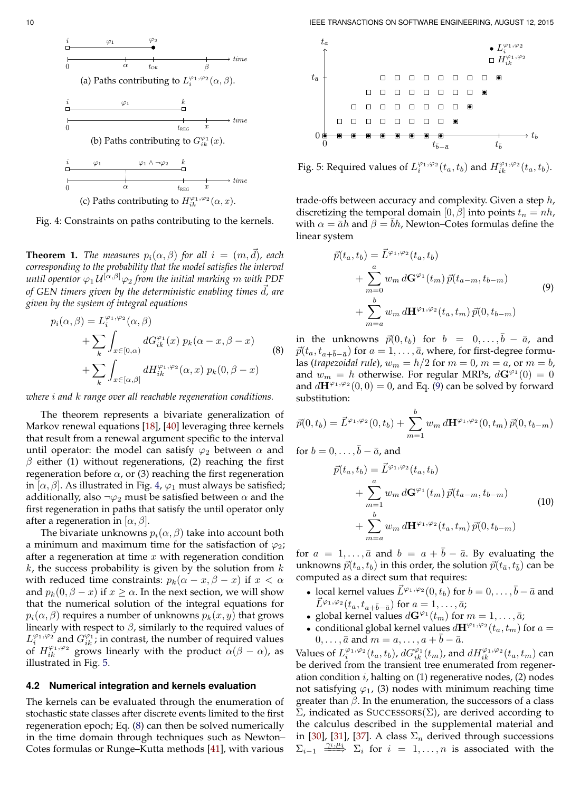<span id="page-9-0"></span>

Fig. 4: Constraints on paths contributing to the kernels.

**Theorem 1.** *The measures*  $p_i(\alpha, \beta)$  *for all*  $i = (m, d)$ *, each corresponding to the probability that the model satisfies the interval* until operator  $\varphi_1 \, \mathcal{U}^{[\alpha,\beta]} \varphi_2$  from the initial marking  $m$  with PDF *of GEN timers given by the deterministic enabling times*  $\overline{d}$ *, are given by the system of integral equations*

$$
p_i(\alpha, \beta) = L_i^{\varphi_1, \varphi_2}(\alpha, \beta)
$$
  
+ 
$$
\sum_k \int_{x \in [0, \alpha)} dG_{ik}^{\varphi_1}(x) p_k(\alpha - x, \beta - x)
$$
  
+ 
$$
\sum_k \int_{x \in [\alpha, \beta]} dH_{ik}^{\varphi_1, \varphi_2}(\alpha, x) p_k(0, \beta - x)
$$
 (8)

*where* i *and* k *range over all reachable regeneration conditions.*

The theorem represents a bivariate generalization of Markov renewal equations [\[18\]](#page-15-17), [\[40\]](#page-15-39) leveraging three kernels that result from a renewal argument specific to the interval until operator: the model can satisfy  $\varphi_2$  between  $\alpha$  and  $\beta$  either (1) without regenerations, (2) reaching the first regeneration before  $\alpha$ , or (3) reaching the first regeneration in  $[\alpha, \beta]$ . As illustrated in Fig. [4,](#page-9-0)  $\varphi_1$  must always be satisfied; additionally, also  $\neg \varphi_2$  must be satisfied between  $\alpha$  and the first regeneration in paths that satisfy the until operator only after a regeneration in  $[\alpha, \beta]$ .

The bivariate unknowns  $p_i(\alpha, \beta)$  take into account both a minimum and maximum time for the satisfaction of  $\varphi_2$ ; after a regeneration at time  $x$  with regeneration condition  $k$ , the success probability is given by the solution from  $k$ with reduced time constraints:  $p_k(\alpha - x, \beta - x)$  if  $x < \alpha$ and  $p_k(0, \beta - x)$  if  $x \ge \alpha$ . In the next section, we will show that the numerical solution of the integral equations for  $p_i(\alpha, \beta)$  requires a number of unknowns  $p_k(x, y)$  that grows linearly with respect to  $\beta$ , similarly to the required values of  $L_i^{\varphi_1,\varphi_2}$  and  $G_{ik}^{\varphi_1}$ ; in contrast, the number of required values of  $H_{ik}^{\varphi_1,\varphi_2}$  grows linearly with the product  $\alpha(\beta-\alpha)$ , as illustrated in Fig. [5.](#page-9-1)

## **4.2 Numerical integration and kernels evaluation**

The kernels can be evaluated through the enumeration of stochastic state classes after discrete events limited to the first regeneration epoch; Eq. [\(8\)](#page-9-2) can then be solved numerically in the time domain through techniques such as Newton– Cotes formulas or Runge–Kutta methods [\[41\]](#page-15-40), with various

<span id="page-9-1"></span>

Fig. 5: Required values of  $L_i^{\varphi_1,\varphi_2}(t_a,t_b)$  and  $H_{ik}^{\varphi_1,\varphi_2}(t_a,t_b)$ .

trade-offs between accuracy and complexity. Given a step  $h$ , discretizing the temporal domain [0,  $\beta$ ] into points  $t_n = nh$ , with  $\alpha = \bar{a}h$  and  $\beta = bh$ , Newton–Cotes formulas define the linear system

<span id="page-9-3"></span>
$$
\vec{p}(t_a, t_b) = \vec{L}^{\varphi_1, \varphi_2}(t_a, t_b)
$$
\n
$$
+ \sum_{m=0}^{a} w_m d\mathbf{G}^{\varphi_1}(t_m) \, \vec{p}(t_{a-m}, t_{b-m})
$$
\n
$$
+ \sum_{m=a}^{b} w_m d\mathbf{H}^{\varphi_1, \varphi_2}(t_a, t_m) \, \vec{p}(0, t_{b-m})
$$
\n(9)

<span id="page-9-2"></span>in the unknowns  $\vec{p}(0, t_b)$  for  $b = 0, \ldots, \bar{b} - \bar{a}$ , and  $\vec{p}(t_a, t_{a+\bar{b}-\bar{a}})$  for  $a=1,\ldots,\bar{a}$ , where, for first-degree formulas (*trapezoidal rule*),  $w_m = h/2$  for  $m = 0$ ,  $m = a$ , or  $m = b$ , and  $w_m = h$  otherwise. For regular MRPs,  $d\mathbf{G}^{\varphi_1}(0) = 0$ and  $d\mathbf{H}^{\varphi_1,\varphi_2}(0,0) = 0$ , and Eq. [\(9\)](#page-9-3) can be solved by forward substitution:

$$
\vec{p}(0, t_b) = \vec{L}^{\varphi_1, \varphi_2}(0, t_b) + \sum_{m=1}^{b} w_m d\mathbf{H}^{\varphi_1, \varphi_2}(0, t_m) \,\vec{p}(0, t_{b-m})
$$

for  $b = 0, \ldots, \bar{b} - \bar{a}$ , and

$$
\vec{p}(t_a, t_b) = \vec{L}^{\varphi_1, \varphi_2}(t_a, t_b) \n+ \sum_{m=1}^{a} w_m d\mathbf{G}^{\varphi_1}(t_m) \, \vec{p}(t_{a-m}, t_{b-m}) \n+ \sum_{m=a}^{b} w_m d\mathbf{H}^{\varphi_1, \varphi_2}(t_a, t_m) \, \vec{p}(0, t_{b-m})
$$
\n(10)

for  $a = 1, \ldots, \bar{a}$  and  $b = a + b - \bar{a}$ . By evaluating the unknowns  $\vec{p}(t_a, t_b)$  in this order, the solution  $\vec{p}(t_{\bar{a}}, t_{\bar{b}})$  can be computed as a direct sum that requires:

- local kernel values  $\vec{L}^{\varphi_1,\varphi_2}(0,t_b)$  for  $b=0,\ldots,\bar{b}-\bar{a}$  and  $\vec{L}^{\varphi_1, \varphi_2}(t_a, t_{a+\bar{b}-\bar{a}})$  for  $a=1,\ldots,\bar{a};$
- global kernel values  $d\mathbf{G}^{\varphi_1}(t_m)$  for  $m = 1, \ldots, \bar{a}$ ;
- conditional global kernel values  $d\mathbf{H}^{\varphi_1,\varphi_2}(t_a,t_m)$  for  $a=$  $0, \ldots, \bar{a}$  and  $m = a, \ldots, a + \bar{b} - \bar{a}$ .

Values of  $L_i^{\varphi_1,\varphi_2}(t_a,t_b)$ ,  $dG_{ik}^{\varphi_1}(t_m)$ , and  $dH_{ik}^{\varphi_1,\varphi_2}(t_a,t_m)$  can be derived from the transient tree enumerated from regeneration condition  $i$ , halting on  $(1)$  regenerative nodes,  $(2)$  nodes not satisfying  $\varphi_1$ , (3) nodes with minimum reaching time greater than  $\beta$ . In the enumeration, the successors of a class Σ, indicated as SUCCESSORS(Σ), are derived according to the calculus described in the supplemental material and in [\[30\]](#page-15-29), [\[31\]](#page-15-30), [\[37\]](#page-15-36). A class  $\Sigma_n$  derived through successions  $\Sigma_{i-1} \stackrel{\gamma_i,\mu_i}{\longrightarrow} \Sigma_i$  for  $i = 1,\ldots,n$  is associated with the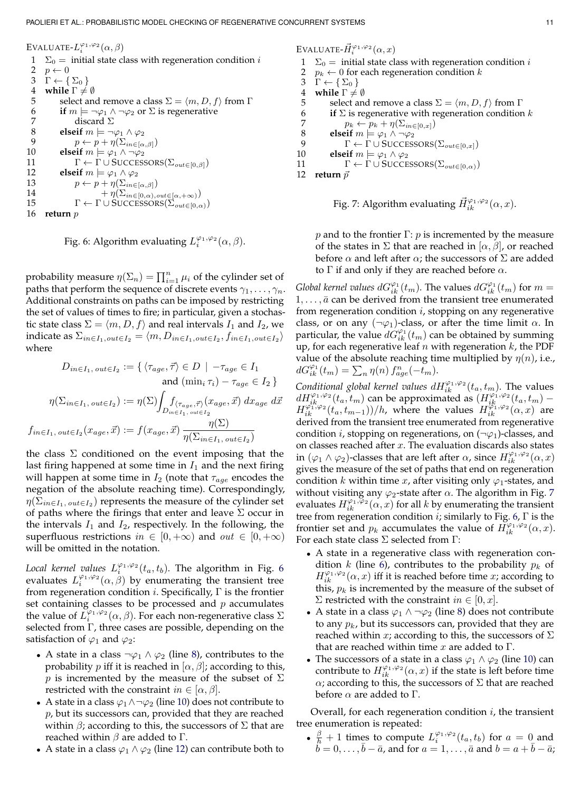<span id="page-10-0"></span>EVALUATE- $L_i^{\varphi_1,\varphi_2}(\alpha,\beta)$  $\Sigma_0$  = initial state class with regeneration condition *i* 2  $p \leftarrow 0$  $p \leftarrow 0$ <br>3  $\Gamma \leftarrow \{$  $\Gamma \leftarrow {\Sigma_0}$ <br>4 while  $\Gamma \neq$ **while**  $\Gamma \neq \emptyset$ <br>5 **select** an select and remove a class  $\Sigma = \langle m, D, f \rangle$  from Γ **if**  $m \models \neg \varphi_1 \land \neg \varphi_2$  or Σ is regenerative 7 discard Σ 7 discard  $\Sigma$ <br>8 **elseif**  $m \models \neg$ **elseif**  $m \models \neg \varphi_1 \land \varphi_2$ <br>9  $p \leftarrow p + \eta(\Sigma_{in \in [0, 1])}$  $p \leftarrow p + \eta(\sum_{in \in [\alpha, \beta]})$ <br>10 **elseif**  $m \models \varphi_1 \land \neg \varphi_2$ **elseif**  $m \models \varphi_1 \land \neg \varphi_2$  $\Gamma \leftarrow \Gamma \cup \text{SUCESSORS}(\Sigma_{out \in [0,\beta]})$ **elseif**  $m \models \varphi_1 \land \varphi_2$  $p \leftarrow p + \eta(\sum_{in \in [\alpha, \beta]} )$  $+\eta(\Sigma_{in \in [0,\alpha), out \in [\alpha,+\infty)})$ <br>15  $\Gamma \leftarrow \Gamma \cup \text{SUCESSORS}(\Sigma_{out \in [0,\alpha,+\infty)})$  $\Gamma \leftarrow \Gamma \cup \text{SUCCESSORS}(\bar{\Sigma}_{out \in [0,\alpha)})$ 16 **return** p

Fig. 6: Algorithm evaluating  $L_i^{\varphi_1,\varphi_2}(\alpha,\beta)$ .

probability measure  $\eta(\Sigma_n) = \prod_{i=1}^n \mu_i$  of the cylinder set of paths that perform the sequence of discrete events  $\gamma_1, \ldots, \gamma_n$ . Additional constraints on paths can be imposed by restricting the set of values of times to fire; in particular, given a stochastic state class  $\Sigma = \langle m, D, f \rangle$  and real intervals  $I_1$  and  $I_2$ , we indicate as  $\Sigma_{in \in I_1,out \in I_2} = \langle m, D_{in \in I_1,out \in I_2}, f_{in \in I_1,out \in I_2} \rangle$ where

$$
D_{in \in I_1, out \in I_2} := \{ \langle \tau_{age}, \vec{\tau} \rangle \in D \mid -\tau_{age} \in I_1
$$
  
and  $(\min_i \tau_i) - \tau_{age} \in I_2 \}$   

$$
\eta(\Sigma_{in \in I_1, out \in I_2}) := \eta(\Sigma) \int_{D_{in \in I_1, out \in I_2}} f(\tau_{age}, \vec{x}) dx_{age} d\vec{x}
$$
  
 $f_{in \in I_1, out \in I_2}(x_{age}, \vec{x}) := f(x_{age}, \vec{x}) \frac{\eta(\Sigma)}{\eta(\Sigma_{in \in I_1, out \in I_2})}$ 

the class  $\Sigma$  conditioned on the event imposing that the last firing happened at some time in  $I_1$  and the next firing will happen at some time in  $I_2$  (note that  $\tau_{age}$  encodes the negation of the absolute reaching time). Correspondingly,  $\eta(\Sigma_{in\in I_1,\, out\in I_2})$  represents the measure of the cylinder set of paths where the firings that enter and leave  $\Sigma$  occur in the intervals  $I_1$  and  $I_2$ , respectively. In the following, the superfluous restrictions  $in \in [0, +\infty)$  and  $out \in [0, +\infty)$ will be omitted in the notation.

Local kernel values  $L_i^{\varphi_1,\varphi_2}(t_a,t_b)$ . The algorithm in Fig. [6](#page-10-0) evaluates  $L_i^{\varphi_1,\varphi_2}(\alpha,\beta)$  by enumerating the transient tree from regeneration condition  $i$ . Specifically,  $\Gamma$  is the frontier set containing classes to be processed and  $p$  accumulates the value of  $\tilde{L}_i^{\varphi_1,\varphi_2}(\alpha,\beta)$ . For each non-regenerative class  $\Sigma$ selected from Γ, three cases are possible, depending on the satisfaction of  $\varphi_1$  and  $\varphi_2$ :

- A state in a class  $\neg \varphi_1 \wedge \varphi_2$  (line [8\)](#page-10-0), contributes to the probability *p* iff it is reached in  $[\alpha, \beta]$ ; according to this, p is incremented by the measure of the subset of  $\Sigma$ restricted with the constraint  $in \in [\alpha, \beta]$ .
- A state in a class  $\varphi_1 \wedge \neg \varphi_2$  (line [10\)](#page-10-0) does not contribute to p, but its successors can, provided that they are reached within  $\beta$ ; according to this, the successors of  $\Sigma$  that are reached within  $\beta$  are added to  $\Gamma$ .
- A state in a class  $\varphi_1 \wedge \varphi_2$  (line [12\)](#page-10-0) can contribute both to

<span id="page-10-1"></span>EVALUATE- $\vec{H}^{\varphi_1,\varphi_2}_i(\alpha,x)$ 

 $\Sigma_0$  = initial state class with regeneration condition *i*<br>2  $p_k \leftarrow 0$  for each regeneration condition *k*  $p_k \leftarrow 0$  for each regeneration condition  $k$ <br>3  $\Gamma \leftarrow \{\Sigma_0\}$  $\Gamma \leftarrow {\Sigma_0}$ **while**  $\Gamma \neq \emptyset$ <br>5 **select** an 5 select and remove a class  $\Sigma = \langle m, D, f \rangle$  from Γ<br>6 if Σ is regenerative with regeneration condition **if** Σ is regenerative with regeneration condition *k*  $7$   $p_k ← p_k + n(Σ_{in ∈ [0, r]})$  $p_k \leftarrow p_k + \eta(\Sigma_{in \in [0,x]})$ <br>8 **elseif**  $m \models \varphi_1 \wedge \neg \varphi_2$ **elseif**  $m \models \varphi_1 \land \neg \varphi_2$ <br>9  $\Gamma \leftarrow \Gamma \cup \text{SUCCSS}$  $\Gamma \leftarrow \Gamma \cup \text{SUCESSORS}(\Sigma_{out \in [0,x]})$ <br>10 **elseif**  $m \models \varphi_1 \wedge \varphi_2$ **elseif**  $m \models \varphi_1 \land \varphi_2$ <br>11  $\Gamma \leftarrow \Gamma \cup \text{Succ}$  $\Gamma \leftarrow \Gamma \cup \text{SUCCESORS}(\Sigma_{out \in [0,\alpha)})$ <br>12 **return**  $\vec{n}$ return  $\vec{p}$ 

```
Fig. 7: Algorithm evaluating \vec{H}^{\varphi_1,\varphi_2}_{ik}(\alpha,x).
```
*p* and to the frontier  $\Gamma$ : *p* is incremented by the measure of the states in  $\Sigma$  that are reached in  $[\alpha, \beta]$ , or reached before  $\alpha$  and left after  $\alpha$ ; the successors of  $\Sigma$  are added to  $\Gamma$  if and only if they are reached before  $\alpha$ .

*Global kernel values*  $dG_{ik}^{\varphi_1}(t_m)$ . The values  $dG_{ik}^{\varphi_1}(t_m)$  for  $m=$  $1, \ldots, \bar{a}$  can be derived from the transient tree enumerated from regeneration condition  $i$ , stopping on any regenerative class, or on any  $(\neg \varphi_1)$ -class, or after the time limit  $\alpha$ . In particular, the value  $dG_{ik}^{\varphi_1}(t_m)$  can be obtained by summing up, for each regenerative leaf  $n$  with regeneration  $k$ , the PDF value of the absolute reaching time multiplied by  $\eta(n)$ , i.e.,  $dG_{ik}^{\varphi_1}(t_m) = \sum_n \eta(n) f_{age}^n(-t_m).$ 

*Conditional global kernel values*  $dH_{ik}^{\varphi_1,\varphi_2}(t_a,t_m)$ . The values  $dH^{\varphi_1,\varphi_2}_{ik} (t_a,t_m)$  can be approximated as  $(H^{\varphi_1,\varphi_2}_{ik} (t_a,t_m) H_{ik}^{\varphi_1^n,\varphi_2}(t_a,t_{m-1}))/h$ , where the values  $H_{ik}^{\varphi_1,\varphi_2}(\alpha,x)$  are derived from the transient tree enumerated from regenerative condition *i*, stopping on regenerations, on  $(\neg \varphi_1)$ -classes, and on classes reached after  $x$ . The evaluation discards also states in  $(\varphi_1 \wedge \varphi_2)$ -classes that are left after  $\alpha$ , since  $H^{\varphi_1,\varphi_2}_{ik}(\alpha,x)$ gives the measure of the set of paths that end on regeneration condition k within time x, after visiting only  $\varphi_1$ -states, and without visiting any  $\varphi_2$ -state after  $\alpha$ . The algorithm in Fig. [7](#page-10-1) evaluates  $H_{ik}^{\varphi_1,\varphi_2}(\alpha,x)$  for all k by enumerating the transient tree from regeneration condition  $i$ ; similarly to Fig. [6,](#page-10-0)  $\Gamma$  is the frontier set and  $p_k$  accumulates the value of  $H_{ik}^{\varphi_1,\varphi_2}(\alpha,x)$ . For each state class  $\Sigma$  selected from  $\Gamma$ :

- A state in a regenerative class with regeneration con-dition k (line [6\)](#page-10-1), contributes to the probability  $p_k$  of  $H^{\varphi_1,\varphi_2}_{ik}(\alpha,x)$  iff it is reached before time x; according to this,  $p_k$  is incremented by the measure of the subset of  $\Sigma$  restricted with the constraint  $in \in [0, x]$ .
- A state in a class  $\varphi_1 \wedge \neg \varphi_2$  (line [8\)](#page-10-1) does not contribute to any  $p_k$ , but its successors can, provided that they are reached within x; according to this, the successors of  $\Sigma$ that are reached within time  $x$  are added to  $\Gamma$ .
- The successors of a state in a class  $\varphi_1 \wedge \varphi_2$  (line [10\)](#page-10-1) can contribute to  $H^{\varphi_1,\varphi_2}_{ik}(\alpha,x)$  if the state is left before time  $α$ ; according to this, the successors of  $Σ$  that are reached before  $\alpha$  are added to  $\Gamma$ .

Overall, for each regeneration condition  $i$ , the transient tree enumeration is repeated:

•  $\frac{\beta}{h}$  + 1 times to compute  $L_i^{\varphi_1,\varphi_2}(t_a,t_b)$  for  $a=0$  and  $\ddot{b} = 0, \ldots, \bar{b} - \bar{a}$ , and for  $a = 1, \ldots, \bar{a}$  and  $b = a + \bar{b} - \bar{a}$ ;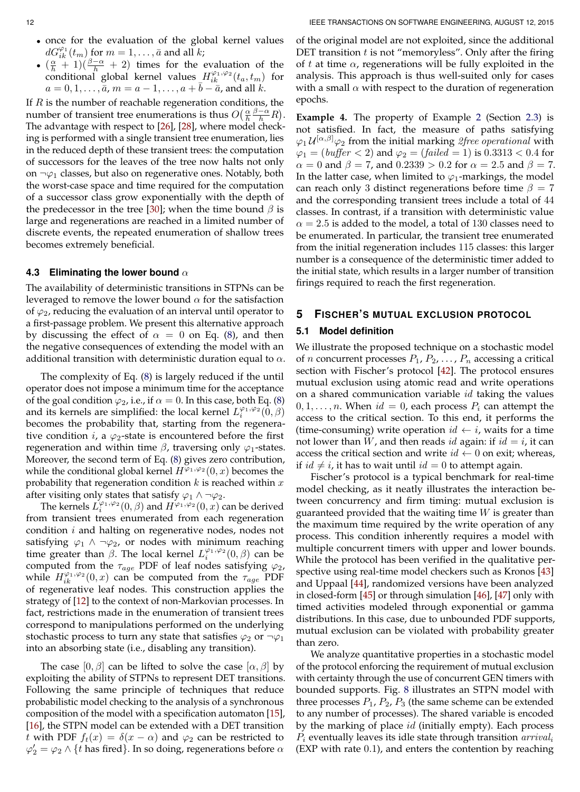- once for the evaluation of the global kernel values  $dG_{ik}^{\varphi_1}(t_m)$  for  $m=1,\ldots,\bar{a}$  and all  $k;$
- $(\frac{\alpha}{h}+1)(\frac{\beta-\alpha}{h}+2)$  times for the evaluation of the conditional global kernel values  $H_{ik}^{\varphi_1,\varphi_2}(t_a,t_m)$  for  $a = 0, 1, \ldots, \overline{a}, m = a - 1, \ldots, a + \overline{b} - \overline{a}$ , and all k.

If  $R$  is the number of reachable regeneration conditions, the number of transient tree enumerations is thus  $O\left(\frac{\alpha}{h} \frac{\beta-\alpha}{h} R\right)$ . The advantage with respect to [\[26\]](#page-15-25), [\[28\]](#page-15-27), where model checking is performed with a single transient tree enumeration, lies in the reduced depth of these transient trees: the computation of successors for the leaves of the tree now halts not only on  $\neg \varphi_1$  classes, but also on regenerative ones. Notably, both the worst-case space and time required for the computation of a successor class grow exponentially with the depth of the predecessor in the tree [\[30\]](#page-15-29); when the time bound  $\beta$  is large and regenerations are reached in a limited number of discrete events, the repeated enumeration of shallow trees becomes extremely beneficial.

## <span id="page-11-1"></span>**4.3 Eliminating the lower bound**  $\alpha$

The availability of deterministic transitions in STPNs can be leveraged to remove the lower bound  $\alpha$  for the satisfaction of  $\varphi_2$ , reducing the evaluation of an interval until operator to a first-passage problem. We present this alternative approach by discussing the effect of  $\alpha = 0$  on Eq. [\(8\)](#page-9-2), and then the negative consequences of extending the model with an additional transition with deterministic duration equal to  $\alpha$ .

The complexity of Eq. [\(8\)](#page-9-2) is largely reduced if the until operator does not impose a minimum time for the acceptance of the goal condition  $\varphi_2$ , i.e., if  $\alpha = 0$ . In this case, both Eq. [\(8\)](#page-9-2) and its kernels are simplified: the local kernel  $L_i^{\varphi_1,\varphi_2}(0,\beta)$ becomes the probability that, starting from the regenerative condition *i*, a  $\varphi_2$ -state is encountered before the first regeneration and within time  $\beta$ , traversing only  $\varphi_1$ -states. Moreover, the second term of Eq. [\(8\)](#page-9-2) gives zero contribution, while the conditional global kernel  $H^{\varphi_1,\varphi_2}(0,x)$  becomes the probability that regeneration condition  $k$  is reached within  $x$ after visiting only states that satisfy  $\varphi_1 \wedge \neg \varphi_2$ .

The kernels  $L_i^{\varphi_1,\varphi_2}(0,\beta)$  and  $H^{\varphi_1,\varphi_2}(0,x)$  can be derived from transient trees enumerated from each regeneration condition i and halting on regenerative nodes, nodes not satisfying  $\varphi_1 \wedge \neg \varphi_2$ , or nodes with minimum reaching time greater than  $\beta$ . The local kernel  $L_i^{\varphi_1,\varphi_2}(0,\beta)$  can be computed from the  $\tau_{age}$  PDF of leaf nodes satisfying  $\varphi_2$ , while  $H_{ik}^{\varphi_1,\varphi_2}(0,x)$  can be computed from the  $\tau_{age}$  PDF of regenerative leaf nodes. This construction applies the strategy of [\[12\]](#page-15-11) to the context of non-Markovian processes. In fact, restrictions made in the enumeration of transient trees correspond to manipulations performed on the underlying stochastic process to turn any state that satisfies  $\varphi_2$  or  $\neg \varphi_1$ into an absorbing state (i.e., disabling any transition).

The case  $[0, \beta]$  can be lifted to solve the case  $[\alpha, \beta]$  by exploiting the ability of STPNs to represent DET transitions. Following the same principle of techniques that reduce probabilistic model checking to the analysis of a synchronous composition of the model with a specification automaton [\[15\]](#page-15-14), [\[16\]](#page-15-15), the STPN model can be extended with a DET transition t with PDF  $f_t(x) = \delta(x - \alpha)$  and  $\varphi_2$  can be restricted to  $\varphi'_2 = \varphi_2 \wedge \{t \text{ has fired}\}\.$  In so doing, regenerations before  $\alpha$ 

of the original model are not exploited, since the additional DET transition  $t$  is not "memoryless". Only after the firing of t at time  $\alpha$ , regenerations will be fully exploited in the analysis. This approach is thus well-suited only for cases with a small  $\alpha$  with respect to the duration of regeneration epochs.

**Example 4.** The property of Example [2](#page-4-2) (Section [2.3\)](#page-4-3) is not satisfied. In fact, the measure of paths satisfying  $\varphi_1 \mathcal{U}^{[\alpha,\beta]} \varphi_2$  from the initial marking *2free operational* with  $\varphi_1 = (buffer < 2)$  and  $\varphi_2 = (failed = 1)$  is  $0.3313 < 0.4$  for  $\alpha = 0$  and  $\beta = 7$ , and  $0.2339 > 0.2$  for  $\alpha = 2.5$  and  $\beta = 7$ . In the latter case, when limited to  $\varphi_1$ -markings, the model can reach only 3 distinct regenerations before time  $\beta = 7$ and the corresponding transient trees include a total of 44 classes. In contrast, if a transition with deterministic value  $\alpha = 2.5$  is added to the model, a total of 130 classes need to be enumerated. In particular, the transient tree enumerated from the initial regeneration includes 115 classes: this larger number is a consequence of the deterministic timer added to the initial state, which results in a larger number of transition firings required to reach the first regeneration.

## <span id="page-11-0"></span>**5 FISCHER'S MUTUAL EXCLUSION PROTOCOL**

## **5.1 Model definition**

We illustrate the proposed technique on a stochastic model of *n* concurrent processes  $P_1$ ,  $P_2$ , ...,  $P_n$  accessing a critical section with Fischer's protocol [\[42\]](#page-15-41). The protocol ensures mutual exclusion using atomic read and write operations on a shared communication variable  $id$  taking the values  $0, 1, \ldots, n$ . When  $id = 0$ , each process  $P_i$  can attempt the access to the critical section. To this end, it performs the (time-consuming) write operation  $id \leftarrow i$ , waits for a time not lower than  $W$ , and then reads *id* again: if  $id = i$ , it can access the critical section and write  $id \leftarrow 0$  on exit; whereas, if  $id \neq i$ , it has to wait until  $id = 0$  to attempt again.

Fischer's protocol is a typical benchmark for real-time model checking, as it neatly illustrates the interaction between concurrency and firm timing: mutual exclusion is guaranteed provided that the waiting time  $W$  is greater than the maximum time required by the write operation of any process. This condition inherently requires a model with multiple concurrent timers with upper and lower bounds. While the protocol has been verified in the qualitative perspective using real-time model checkers such as Kronos [\[43\]](#page-15-42) and Uppaal [\[44\]](#page-15-43), randomized versions have been analyzed in closed-form [\[45\]](#page-15-44) or through simulation [\[46\]](#page-15-45), [\[47\]](#page-15-46) only with timed activities modeled through exponential or gamma distributions. In this case, due to unbounded PDF supports, mutual exclusion can be violated with probability greater than zero.

We analyze quantitative properties in a stochastic model of the protocol enforcing the requirement of mutual exclusion with certainty through the use of concurrent GEN timers with bounded supports. Fig. [8](#page-12-0) illustrates an STPN model with three processes  $P_1$ ,  $P_2$ ,  $P_3$  (the same scheme can be extended to any number of processes). The shared variable is encoded by the marking of place  $id$  (initially empty). Each process  $P_i$  eventually leaves its idle state through transition  $arrival_i$ (EXP with rate 0.1), and enters the contention by reaching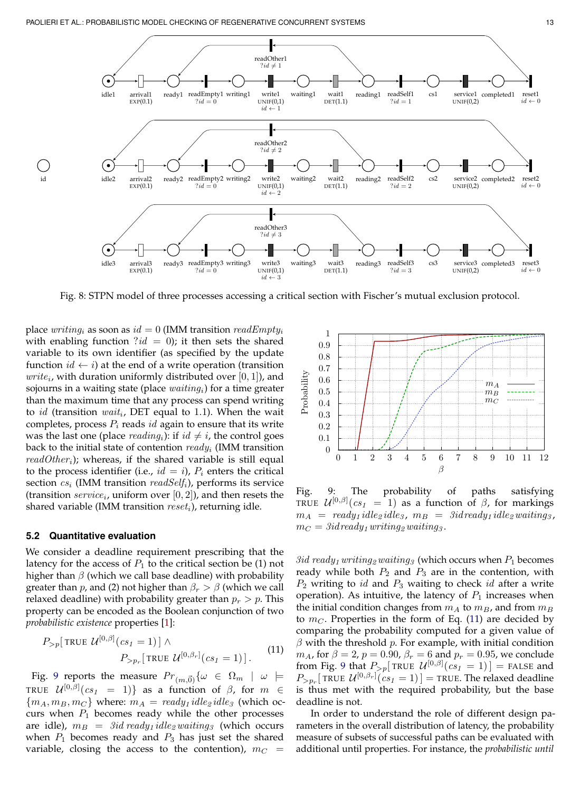<span id="page-12-0"></span>

Fig. 8: STPN model of three processes accessing a critical section with Fischer's mutual exclusion protocol.

place writing<sub>i</sub> as soon as  $id = 0$  (IMM transition readEmpty<sub>i</sub> with enabling function  $?id = 0$ ); it then sets the shared variable to its own identifier (as specified by the update function  $id \leftarrow i$ ) at the end of a write operation (transition  $write_i$ , with duration uniformly distributed over  $[0, 1]$ ), and sojourns in a waiting state (place  $waiting_i$ ) for a time greater than the maximum time that any process can spend writing to  $id$  (transition  $wait_i$ , DET equal to 1.1). When the wait completes, process  $P_i$  reads *id* again to ensure that its write was the last one (place *reading<sub>i</sub>*): if  $id \neq i$ , the control goes back to the initial state of contention  $ready_i$  (IMM transition  $readOther_i$ ); whereas, if the shared variable is still equal to the process identifier (i.e.,  $id = i$ ),  $P_i$  enters the critical section  $cs_i$  (IMM transition  $readSelf_i$ ), performs its service (transition  $service_i$ , uniform over  $[0,2]$ ), and then resets the shared variable (IMM transition  $reset_i$ ), returning idle.

#### **5.2 Quantitative evaluation**

We consider a deadline requirement prescribing that the latency for the access of  $P_1$  to the critical section be (1) not higher than  $\beta$  (which we call base deadline) with probability greater than p, and (2) not higher than  $\beta_r > \beta$  (which we call relaxed deadline) with probability greater than  $p_r > p$ . This property can be encoded as the Boolean conjunction of two *probabilistic existence* properties [\[1\]](#page-15-0):

$$
P_{>p}[\text{TRUE } \mathcal{U}^{[0,\beta]}(cs_1 = 1)] \wedge P_{>p_r}[\text{TRUE } \mathcal{U}^{[0,\beta_r]}(cs_1 = 1)]. \tag{11}
$$

Fig. [9](#page-12-1) reports the measure  $Pr_{(m,\vec{0})}\{\omega \in \Omega_m \mid \omega \models \omega\}$ TRUE  $\mathcal{U}^{[0,\beta]}(cs_1 = 1)$  as a function of  $\beta$ , for  $m \in$  ${m_A, m_B, m_C}$  where:  $m_A = ready_1$  *idle<sub>2</sub> idle<sub>3</sub>* (which occurs when  $P_1$  becomes ready while the other processes are idle),  $m_B = 3id \text{ ready}_1 id \text{leg} \text{ waiting}_3$  (which occurs when  $P_1$  becomes ready and  $P_3$  has just set the shared variable, closing the access to the contention),  $m_C$  =

<span id="page-12-1"></span>

Fig. 9: The probability of paths satisfying TRUE  $\mathcal{U}^{[0,\beta]}(cs_1 = 1)$  as a function of  $\beta$ , for markings  $m_A = ready_1$  idle<sub>2</sub> idle<sub>3</sub>,  $m_B = 3$ id ready<sub>1</sub> idle<sub>2</sub> waiting<sub>3</sub>,  $m_C = 3$ id ready<sub>1</sub> writing<sub>2</sub> waiting<sub>3</sub>.

3id ready<sub>1</sub> writing<sub>2</sub> waiting<sub>3</sub> (which occurs when  $P_1$  becomes ready while both  $P_2$  and  $P_3$  are in the contention, with  $P_2$  writing to id and  $P_3$  waiting to check id after a write operation). As intuitive, the latency of  $P_1$  increases when the initial condition changes from  $m_A$  to  $m_B$ , and from  $m_B$ to  $m<sub>C</sub>$ . Properties in the form of Eq. [\(11\)](#page-12-2) are decided by comparing the probability computed for a given value of  $\beta$  with the threshold p. For example, with initial condition  $m_A$ , for  $\beta = 2$ ,  $p = 0.90$ ,  $\beta_r = 6$  and  $p_r = 0.95$ , we conclude from Fig. [9](#page-12-1) that  $P_{>p}$ [TRUE  $\mathcal{U}^{[0,\beta]}(cs_1 = 1)$ ] = FALSE and  $P_{>p_r}$ [TRUE  $\mathcal{U}^{[0,\beta_r]}(cs_1 = 1)$ ] = TRUE. The relaxed deadline is thus met with the required probability, but the base deadline is not.

<span id="page-12-2"></span>In order to understand the role of different design parameters in the overall distribution of latency, the probability measure of subsets of successful paths can be evaluated with additional until properties. For instance, the *probabilistic until*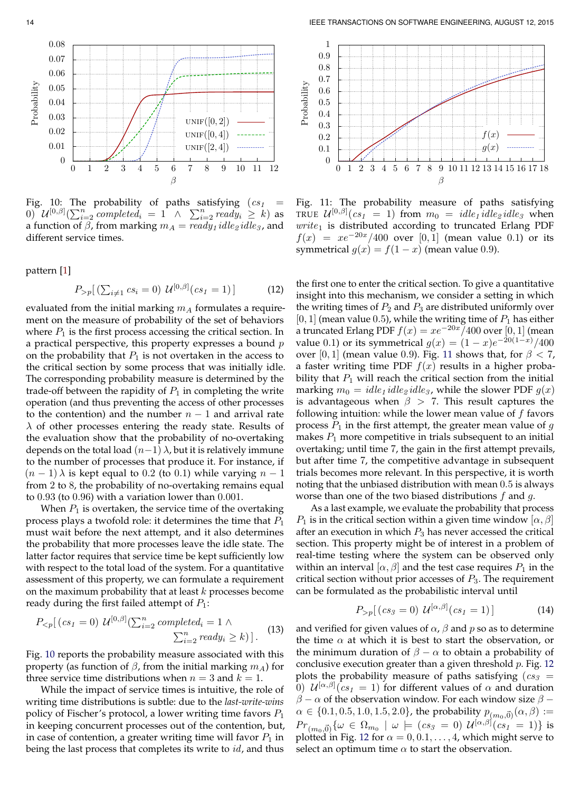<span id="page-13-0"></span>

Fig. 10: The probability of paths satisfying  $(c\mathfrak{s}_1)$  $(0)$   $\mathcal{U}^{[0, \beta]}(\sum_{i=1}^{n}$  $\sum_{i=2}^n \mathit{completed}_i = 1 \ \land \ \sum_{i=2}^n \mathit{ready}_i \geq k)$  as a function of  $\beta$ , from marking  $m_A = ready_1$  idle<sub>2</sub> idle<sub>3</sub>, and different service times.

pattern [\[1\]](#page-15-0)

$$
P_{>p}[(\sum_{i \neq 1} cs_i = 0) \mathcal{U}^{[0,\beta]}(cs_1 = 1)] \tag{12}
$$

evaluated from the initial marking  $m_A$  formulates a requirement on the measure of probability of the set of behaviors where  $P_1$  is the first process accessing the critical section. In a practical perspective, this property expresses a bound  $p$ on the probability that  $P_1$  is not overtaken in the access to the critical section by some process that was initially idle. The corresponding probability measure is determined by the trade-off between the rapidity of  $P_1$  in completing the write operation (and thus preventing the access of other processes to the contention) and the number  $n - 1$  and arrival rate  $\lambda$  of other processes entering the ready state. Results of the evaluation show that the probability of no-overtaking depends on the total load  $(n-1)$   $\lambda$ , but it is relatively immune to the number of processes that produce it. For instance, if  $(n-1)$   $\lambda$  is kept equal to 0.2 (to 0.1) while varying  $n-1$ from 2 to 8, the probability of no-overtaking remains equal to 0.93 (to 0.96) with a variation lower than 0.001. <sup>0</sup>  $\frac{1}{2}$   $\frac{1}{3}$   $\frac{1}{4}$  5  $\frac{1}{9}$  7 8 9 10 11 12 0<br>
Fig. 10. The probability of paths satisfying  $(s_5t = \text{Fig. 11})$ <br>
(b)  $\mathcal{U}^{0,3}(\sum_{i=1}^n\text{complex},\text{complex},\text{discrete},\text{discrete},\text{discrete},\text{discrete},\text{discrete},\text{discrete},\text{discrete},\text{discrete},\text{discrete},\text{dis$ 

When  $P_1$  is overtaken, the service time of the overtaking process plays a twofold role: it determines the time that  $P_1$ must wait before the next attempt, and it also determines the probability that more processes leave the idle state. The latter factor requires that service time be kept sufficiently low with respect to the total load of the system. For a quantitative assessment of this property, we can formulate a requirement on the maximum probability that at least  $k$  processes become ready during the first failed attempt of  $P_1$ :

$$
P_{\leq p}[(cs_1 = 0) \ \mathcal{U}^{[0,\beta]}(\sum_{i=2}^n \text{complete} d_i = 1 \land \sum_{i=2}^n \text{read} y_i \geq k)]. \tag{13}
$$

Fig. [10](#page-13-0) reports the probability measure associated with this property (as function of  $\beta$ , from the initial marking  $m_A$ ) for three service time distributions when  $n = 3$  and  $k = 1$ .

While the impact of service times is intuitive, the role of writing time distributions is subtle: due to the *last-write-wins* policy of Fischer's protocol, a lower writing time favors  $P_1$ in keeping concurrent processes out of the contention, but, in case of contention, a greater writing time will favor  $P_1$  in

<span id="page-13-1"></span>

Fig. 11: The probability measure of paths satisfying TRUE  $\mathcal{U}^{[0,\beta]}(cs_1 = 1)$  from  $m_0 = idle_1 idle_2 idle_3$  when  $write_1$  is distributed according to truncated Erlang PDF  $f(x) = xe^{-20x}/400$  over [0, 1] (mean value 0.1) or its symmetrical  $g(x) = f(1-x)$  (mean value 0.9).

the first one to enter the critical section. To give a quantitative insight into this mechanism, we consider a setting in which the writing times of  $P_2$  and  $P_3$  are distributed uniformly over  $[0, 1]$  (mean value 0.5), while the writing time of  $P_1$  has either a truncated Erlang PDF  $f(x) = xe^{-20x}/400$  over [0, 1] (mean value 0.1) or its symmetrical  $g(x) = (1 - x)e^{-20(1 - x)}/400$ over [0, 1] (mean value 0.9). Fig. [11](#page-13-1) shows that, for  $\beta$  < 7, a faster writing time PDF  $f(x)$  results in a higher probability that  $P_1$  will reach the critical section from the initial marking  $m_0 = idle_1 idle_2 idle_3$ , while the slower PDF  $g(x)$ is advantageous when  $\beta$  > 7. This result captures the following intuition: while the lower mean value of  $f$  favors process  $P_1$  in the first attempt, the greater mean value of g makes  $P_1$  more competitive in trials subsequent to an initial overtaking; until time 7, the gain in the first attempt prevails, but after time 7, the competitive advantage in subsequent trials becomes more relevant. In this perspective, it is worth noting that the unbiased distribution with mean 0.5 is always worse than one of the two biased distributions  $f$  and  $g$ .

As a last example, we evaluate the probability that process  $P_1$  is in the critical section within a given time window  $[\alpha, \beta]$ after an execution in which  $P_3$  has never accessed the critical section. This property might be of interest in a problem of real-time testing where the system can be observed only within an interval  $[\alpha, \beta]$  and the test case requires  $P_1$  in the critical section without prior accesses of  $P_3$ . The requirement can be formulated as the probabilistic interval until

$$
P_{>p}[(cs_3 = 0) \; \mathcal{U}^{[\alpha,\beta]}(cs_1 = 1)] \tag{14}
$$

and verified for given values of  $\alpha$ ,  $\beta$  and p so as to determine the time  $\alpha$  at which it is best to start the observation, or the minimum duration of  $\beta - \alpha$  to obtain a probability of conclusive execution greater than a given threshold  $p$ . Fig. [12](#page-14-1) plots the probability measure of paths satisfying  $(c s<sub>3</sub> =$  $[0]$   $U^{[\alpha,\beta]}(cs_1 = 1)$  for different values of α and duration  $\beta - \alpha$  of the observation window. For each window size  $\beta$  –  $\alpha \in \{0.1, 0.5, 1.0, 1.5, 2.0\}$ , the probability  $p_{(m_0,\vec{0})}(\alpha,\beta) :=$  $Pr_{(m_0,\vec{0})}\{\omega \in \Omega_{m_0} \,\ | \,\ \omega \models (cs_3 = 0) \,\, \mathcal{U}^{[\alpha,\beta]}(cs_1 = 1)\}$  is plotted in Fig. [12](#page-14-1) for  $\alpha = 0, 0.1, \ldots, 4$ , which might serve to select an optimum time  $\alpha$  to start the observation.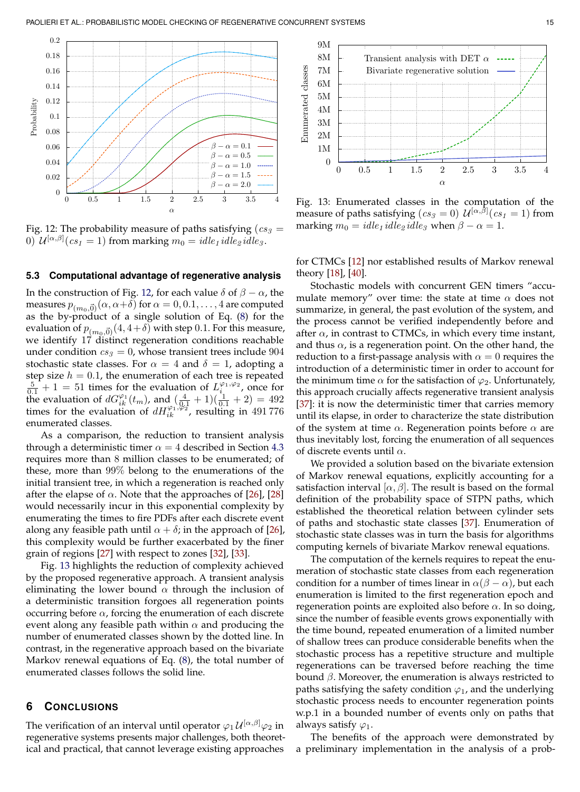<span id="page-14-1"></span>

Fig. 12: The probability measure of paths satisfying ( $cs_3$  =  $(0)$   $\mathcal{U}^{[\alpha,\beta]}(cs_1 = 1)$  from marking  $m_0 = idle_1 idle_2 idle_3$ .

#### **5.3 Computational advantage of regenerative analysis**

In the construction of Fig. [12,](#page-14-1) for each value  $\delta$  of  $\beta - \alpha$ , the measures  $p_{(m_0,\vec{0})}(\alpha,\alpha+\delta)$  for  $\alpha = 0, 0.1, \ldots, 4$  are computed as the by-product of a single solution of Eq. [\(8\)](#page-9-2) for the evaluation of  $p_{(m_0,\vec{0})}(4, 4+\delta)$  with step 0.1. For this measure, we identify 17 distinct regeneration conditions reachable under condition  $cs_3 = 0$ , whose transient trees include 904 stochastic state classes. For  $\alpha = 4$  and  $\delta = 1$ , adopting a step size  $h = 0.1$ , the enumeration of each tree is repeated  $\frac{5}{0.1}+1=51$  times for the evaluation of  $L_i^{\varphi_1,\varphi_2}$ , once for the evaluation of  $dG_{ik}^{\varphi_1}(t_m)$ , and  $\left(\frac{4}{9.1} + 1\right)\left(\frac{1}{0.1} + 2\right) = 492$ times for the evaluation of  $dH_{ik}^{\varphi_1,\varphi_2}$ , resulting in 491776 enumerated classes. **1946**<br> **Example 1.15**  $\frac{5}{4} - \frac{1}{6} - \frac{1}{15}$ <br> **Example 1.15**<br> **Example 1.15**<br> **Example 1.15**<br> **Example 1.15**<br> **Example 1.15**<br> **Pyralled Example 2.18**<br> **Example 2.18**<br> **Example 2.18**<br> **Example 2.18**<br> **Example 2.18**<br>

As a comparison, the reduction to transient analysis through a deterministic timer  $\alpha = 4$  described in Section [4.3](#page-11-1) requires more than 8 million classes to be enumerated; of these, more than 99% belong to the enumerations of the initial transient tree, in which a regeneration is reached only after the elapse of  $\alpha$ . Note that the approaches of [\[26\]](#page-15-25), [\[28\]](#page-15-27) would necessarily incur in this exponential complexity by enumerating the times to fire PDFs after each discrete event along any feasible path until  $\alpha + \delta$ ; in the approach of [\[26\]](#page-15-25), this complexity would be further exacerbated by the finer grain of regions [\[27\]](#page-15-26) with respect to zones [\[32\]](#page-15-31), [\[33\]](#page-15-32).

Fig. [13](#page-14-2) highlights the reduction of complexity achieved by the proposed regenerative approach. A transient analysis eliminating the lower bound  $\alpha$  through the inclusion of a deterministic transition forgoes all regeneration points occurring before  $\alpha$ , forcing the enumeration of each discrete event along any feasible path within  $\alpha$  and producing the number of enumerated classes shown by the dotted line. In contrast, in the regenerative approach based on the bivariate Markov renewal equations of Eq. [\(8\)](#page-9-2), the total number of enumerated classes follows the solid line.

## <span id="page-14-0"></span>**6 CONCLUSIONS**

The verification of an interval until operator  $\varphi_1 \mathcal{U}^{[\alpha,\beta]} \varphi_2$  in regenerative systems presents major challenges, both theoret-

<span id="page-14-2"></span>

Fig. 13: Enumerated classes in the computation of the measure of paths satisfying  $(c s_3 = 0)$   $\mathcal{U}^{[\alpha,\beta]}(c s_1 = 1)$  from marking  $m_0 = idle_1 idle_2 idle_3$  when  $\beta - \alpha = 1$ .

for CTMCs [\[12\]](#page-15-11) nor established results of Markov renewal theory [\[18\]](#page-15-17), [\[40\]](#page-15-39).

Stochastic models with concurrent GEN timers "accumulate memory" over time: the state at time  $\alpha$  does not summarize, in general, the past evolution of the system, and the process cannot be verified independently before and after  $\alpha$ , in contrast to CTMCs, in which every time instant, and thus  $\alpha$ , is a regeneration point. On the other hand, the reduction to a first-passage analysis with  $\alpha = 0$  requires the introduction of a deterministic timer in order to account for the minimum time  $\alpha$  for the satisfaction of  $\varphi_2$ . Unfortunately, this approach crucially affects regenerative transient analysis [\[37\]](#page-15-36): it is now the deterministic timer that carries memory until its elapse, in order to characterize the state distribution of the system at time  $\alpha$ . Regeneration points before  $\alpha$  are thus inevitably lost, forcing the enumeration of all sequences of discrete events until  $\alpha$ .

We provided a solution based on the bivariate extension of Markov renewal equations, explicitly accounting for a satisfaction interval  $[\alpha, \beta]$ . The result is based on the formal definition of the probability space of STPN paths, which established the theoretical relation between cylinder sets of paths and stochastic state classes [\[37\]](#page-15-36). Enumeration of stochastic state classes was in turn the basis for algorithms computing kernels of bivariate Markov renewal equations.

The computation of the kernels requires to repeat the enumeration of stochastic state classes from each regeneration condition for a number of times linear in  $\alpha(\beta - \alpha)$ , but each enumeration is limited to the first regeneration epoch and regeneration points are exploited also before  $\alpha$ . In so doing, since the number of feasible events grows exponentially with the time bound, repeated enumeration of a limited number of shallow trees can produce considerable benefits when the stochastic process has a repetitive structure and multiple regenerations can be traversed before reaching the time bound  $β$ . Moreover, the enumeration is always restricted to paths satisfying the safety condition  $\varphi_1$ , and the underlying stochastic process needs to encounter regeneration points w.p.1 in a bounded number of events only on paths that always satisfy  $\varphi_1$ .

The benefits of the approach were demonstrated by a preliminary implementation in the analysis of a prob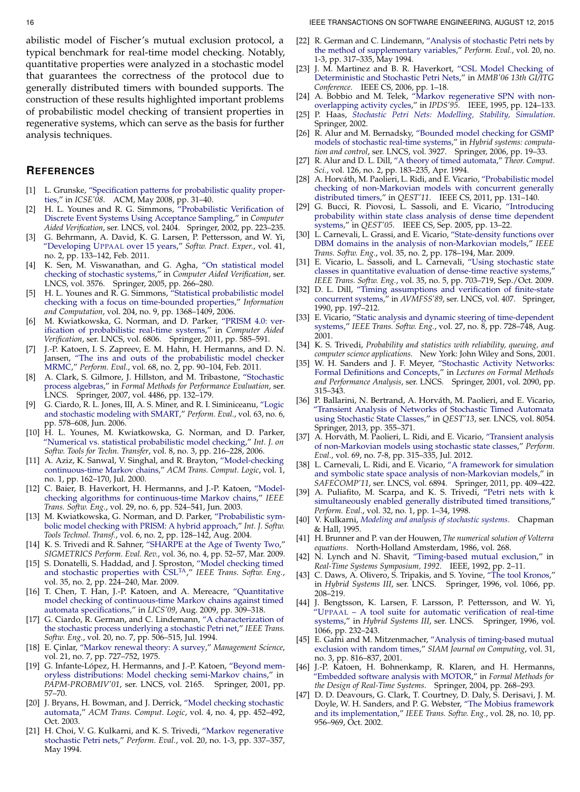abilistic model of Fischer's mutual exclusion protocol, a typical benchmark for real-time model checking. Notably, quantitative properties were analyzed in a stochastic model that guarantees the correctness of the protocol due to generally distributed timers with bounded supports. The construction of these results highlighted important problems of probabilistic model checking of transient properties in regenerative systems, which can serve as the basis for further analysis techniques.

## **REFERENCES**

- <span id="page-15-0"></span>[1] L. Grunske, ["Specification patterns for probabilistic quality proper](http://dx.doi.org/10.1145/1368088.1368094)[ties,](http://dx.doi.org/10.1145/1368088.1368094)" in *ICSE'08*. ACM, May 2008, pp. 31–40.
- <span id="page-15-1"></span>[2] H. L. Younes and R. G. Simmons, ["Probabilistic Verification of](http://dx.doi.org/10.1007/3-540-45657-0_17) [Discrete Event Systems Using Acceptance Sampling,](http://dx.doi.org/10.1007/3-540-45657-0_17)" in *Computer Aided Verification*, ser. LNCS, vol. 2404. Springer, 2002, pp. 223–235.
- <span id="page-15-2"></span>[3] G. Behrmann, A. David, K. G. Larsen, P. Pettersson, and W. Yi, "Developing UPPAAL [over 15 years,](http://dx.doi.org/10.1002/spe.1006)" *Softw. Pract. Exper.*, vol. 41, no. 2, pp. 133–142, Feb. 2011.
- <span id="page-15-3"></span>[4] K. Sen, M. Viswanathan, and G. Agha, ["On statistical model](http://dx.doi.org/10.1007/11513988_26) [checking of stochastic systems,](http://dx.doi.org/10.1007/11513988_26)" in *Computer Aided Verification*, ser. LNCS, vol. 3576. Springer, 2005, pp. 266–280.
- <span id="page-15-4"></span>[5] H. L. Younes and R. G. Simmons, ["Statistical probabilistic model](http://dx.doi.org/10.1016/j.ic.2006.05.002) [checking with a focus on time-bounded properties,](http://dx.doi.org/10.1016/j.ic.2006.05.002)" *Information and Computation*, vol. 204, no. 9, pp. 1368–1409, 2006.
- <span id="page-15-5"></span>[6] M. Kwiatkowska, G. Norman, and D. Parker, ["PRISM 4.0: ver](http://dx.doi.org/10.1007/978-3-642-22110-1_47)[ification of probabilistic real-time systems,](http://dx.doi.org/10.1007/978-3-642-22110-1_47)" in *Computer Aided Verification*, ser. LNCS, vol. 6806. Springer, 2011, pp. 585–591.
- <span id="page-15-6"></span>[7] J.-P. Katoen, I. S. Zapreev, E. M. Hahn, H. Hermanns, and D. N. Jansen, ["The ins and outs of the probabilistic model checker](http://dx.doi.org/10.1016/j.peva.2010.04.001) [MRMC,](http://dx.doi.org/10.1016/j.peva.2010.04.001)" *Perform. Eval.*, vol. 68, no. 2, pp. 90–104, Feb. 2011.
- <span id="page-15-7"></span>[8] A. Clark, S. Gilmore, J. Hillston, and M. Tribastone, ["Stochastic](http://dx.doi.org/10.1007/978-3-540-72522-0_4) [process algebras,](http://dx.doi.org/10.1007/978-3-540-72522-0_4)" in *Formal Methods for Performance Evaluation*, ser. LNCS. Springer, 2007, vol. 4486, pp. 132–179.
- <span id="page-15-8"></span>[9] G. Ciardo, R. L. Jones, III, A. S. Miner, and R. I. Siminiceanu, ["Logic](http://dx.doi.org/10.1016/j.peva.2005.06.001) [and stochastic modeling with SMART,](http://dx.doi.org/10.1016/j.peva.2005.06.001)" *Perform. Eval.*, vol. 63, no. 6, pp. 578–608, Jun. 2006.
- <span id="page-15-9"></span>[10] H. L. Younes, M. Kwiatkowska, G. Norman, and D. Parker, ["Numerical vs. statistical probabilistic model checking,](http://dx.doi.org/10.1007/s10009-005-0187-8)" *Int. J. on Softw. Tools for Techn. Transfer*, vol. 8, no. 3, pp. 216–228, 2006.
- <span id="page-15-10"></span>[11] A. Aziz, K. Sanwal, V. Singhal, and R. Brayton, ["Model-checking](http://dx.doi.org/10.1145/343369.343402) [continuous-time Markov chains,](http://dx.doi.org/10.1145/343369.343402)" *ACM Trans. Comput. Logic*, vol. 1, no. 1, pp. 162–170, Jul. 2000.
- <span id="page-15-11"></span>[12] C. Baier, B. Haverkort, H. Hermanns, and J.-P. Katoen, ["Model](http://dx.doi.org/10.1109/TSE.2003.1205180)[checking algorithms for continuous-time Markov chains,](http://dx.doi.org/10.1109/TSE.2003.1205180)" *IEEE Trans. Softw. Eng.*, vol. 29, no. 6, pp. 524–541, Jun. 2003.
- <span id="page-15-12"></span>[13] M. Kwiatkowska, G. Norman, and D. Parker, ["Probabilistic sym](http://dx.doi.org/10.1007/s10009-004-0140-2)[bolic model checking with PRISM: A hybrid approach,](http://dx.doi.org/10.1007/s10009-004-0140-2)" *Int. J. Softw. Tools Technol. Transf.*, vol. 6, no. 2, pp. 128–142, Aug. 2004.
- <span id="page-15-13"></span>[14] K. S. Trivedi and R. Sahner, ["SHARPE at the Age of Twenty Two,](http://dx.doi.org/10.1145/1530873.1530884)" *SIGMETRICS Perform. Eval. Rev.*, vol. 36, no. 4, pp. 52–57, Mar. 2009.
- <span id="page-15-14"></span>[15] S. Donatelli, S. Haddad, and J. Sproston, ["Model checking timed](http://dx.doi.org/10.1109/TSE.2008.108) [and stochastic properties with CSL](http://dx.doi.org/10.1109/TSE.2008.108)TA," *IEEE Trans. Softw. Eng.*, vol. 35, no. 2, pp. 224–240, Mar. 2009.
- <span id="page-15-15"></span>[16] T. Chen, T. Han, J.-P. Katoen, and A. Mereacre, ["Quantitative](http://dx.doi.org/10.1109/LICS.2009.21) [model checking of continuous-time Markov chains against timed](http://dx.doi.org/10.1109/LICS.2009.21) [automata specifications,](http://dx.doi.org/10.1109/LICS.2009.21)" in *LICS'09*, Aug. 2009, pp. 309–318.
- <span id="page-15-16"></span>[17] G. Ciardo, R. German, and C. Lindemann, ["A characterization of](http://dx.doi.org/10.1109/32.297939) [the stochastic process underlying a stochastic Petri net,](http://dx.doi.org/10.1109/32.297939)" *IEEE Trans. Softw. Eng.*, vol. 20, no. 7, pp. 506–515, Jul. 1994.
- <span id="page-15-17"></span>[18] E. Çinlar, ["Markov renewal theory: A survey,](http://dx.doi.org/10.1287/mnsc.21.7.727)" Management Science, vol. 21, no. 7, pp. 727–752, 1975.
- <span id="page-15-18"></span>[19] G. Infante-López, H. Hermanns, and J.-P. Katoen, ["Beyond mem](http://dx.doi.org/10.1007/3-540-44804-7_4)[oryless distributions: Model checking semi-Markov chains,](http://dx.doi.org/10.1007/3-540-44804-7_4)" in *PAPM-PROBMIV'01*, ser. LNCS, vol. 2165. Springer, 2001, pp. 57–70.
- <span id="page-15-19"></span>[20] J. Bryans, H. Bowman, and J. Derrick, ["Model checking stochastic](http://dx.doi.org/10.1145/937555.937558) [automata,](http://dx.doi.org/10.1145/937555.937558)" *ACM Trans. Comput. Logic*, vol. 4, no. 4, pp. 452–492, Oct. 2003.
- <span id="page-15-20"></span>[21] H. Choi, V. G. Kulkarni, and K. S. Trivedi, ["Markov regenerative](http://dx.doi.org/10.1016/0166-5316(94)90021-3) [stochastic Petri nets,](http://dx.doi.org/10.1016/0166-5316(94)90021-3)" *Perform. Eval.*, vol. 20, no. 1-3, pp. 337–357, May 1994.
- <span id="page-15-21"></span>[22] R. German and C. Lindemann, ["Analysis of stochastic Petri nets by](http://dx.doi.org/10.1016/0166-5316(94)90020-5) [the method of supplementary variables,](http://dx.doi.org/10.1016/0166-5316(94)90020-5)" *Perform. Eval.*, vol. 20, no. 1-3, pp. 317–335, May 1994.
- <span id="page-15-22"></span>[23] J. M. Martinez and B. R. Haverkort, ["CSL Model Checking of](http://ieeexplore.ieee.org/xpl/articleDetails.jsp?arnumber=5755423) [Deterministic and Stochastic Petri Nets,](http://ieeexplore.ieee.org/xpl/articleDetails.jsp?arnumber=5755423)" in *MMB'06 13th GI/ITG Conference*. IEEE CS, 2006, pp. 1–18.
- <span id="page-15-23"></span>[24] A. Bobbio and M. Telek, ["Markov regenerative SPN with non](http://dx.doi.org/10.1109/IPDS.1995.395811)[overlapping activity cycles,](http://dx.doi.org/10.1109/IPDS.1995.395811)" in *IPDS'95*. IEEE, 1995, pp. 124–133.
- <span id="page-15-24"></span>[25] P. Haas, *[Stochastic Petri Nets: Modelling, Stability, Simulation](http://dx.doi.org/10.1007/b97265)*. Springer, 2002.
- <span id="page-15-25"></span>[26] R. Alur and M. Bernadsky, ["Bounded model checking for GSMP](http://dx.doi.org/10.1007/11730637_5) [models of stochastic real-time systems,](http://dx.doi.org/10.1007/11730637_5)" in *Hybrid systems: computation and control*, ser. LNCS, vol. 3927. Springer, 2006, pp. 19–33.
- <span id="page-15-26"></span>[27] R. Alur and D. L. Dill, ["A theory of timed automata,](http://dx.doi.org/10.1016/0304-3975(94)90010-8)" *Theor. Comput. Sci.*, vol. 126, no. 2, pp. 183–235, Apr. 1994.
- <span id="page-15-27"></span>[28] A. Horváth, M. Paolieri, L. Ridi, and E. Vicario, ["Probabilistic model](http://dx.doi.org/10.1109/QEST.2011.23) [checking of non-Markovian models with concurrent generally](http://dx.doi.org/10.1109/QEST.2011.23) [distributed timers,](http://dx.doi.org/10.1109/QEST.2011.23)" in *QEST'11*. IEEE CS, 2011, pp. 131–140.
- <span id="page-15-28"></span>[29] G. Bucci, R. Piovosi, L. Sassoli, and E. Vicario, ["Introducing](http://dx.doi.org/10.1109/QEST.2005.17) [probability within state class analysis of dense time dependent](http://dx.doi.org/10.1109/QEST.2005.17) [systems,](http://dx.doi.org/10.1109/QEST.2005.17)" in *QEST'05*. IEEE CS, Sep. 2005, pp. 13–22.
- <span id="page-15-29"></span>[30] L. Carnevali, L. Grassi, and E. Vicario, ["State-density functions over](http://dx.doi.org/10.1109/TSE.2008.101) [DBM domains in the analysis of non-Markovian models,](http://dx.doi.org/10.1109/TSE.2008.101)" *IEEE Trans. Softw. Eng.*, vol. 35, no. 2, pp. 178–194, Mar. 2009.
- <span id="page-15-30"></span>[31] E. Vicario, L. Sassoli, and L. Carnevali, ["Using stochastic state](http://dx.doi.org/10.1109/TSE.2009.36) [classes in quantitative evaluation of dense-time reactive systems,](http://dx.doi.org/10.1109/TSE.2009.36)" *IEEE Trans. Softw. Eng.*, vol. 35, no. 5, pp. 703–719, Sep./Oct. 2009.
- <span id="page-15-31"></span>[32] D. L. Dill, ["Timing assumptions and verification of finite-state](http://dx.doi.org/10.1007/3-540-52148-8_17) [concurrent systems,](http://dx.doi.org/10.1007/3-540-52148-8_17)" in *AVMFSS'89*, ser. LNCS, vol. 407. Springer, 1990, pp. 197–212.
- <span id="page-15-32"></span>[33] E. Vicario, ["Static analysis and dynamic steering of time-dependent](http://dx.doi.org/10.1109/32.940727) [systems,](http://dx.doi.org/10.1109/32.940727)" *IEEE Trans. Softw. Eng.*, vol. 27, no. 8, pp. 728–748, Aug. 2001.
- <span id="page-15-33"></span>[34] K. S. Trivedi, *Probability and statistics with reliability, queuing, and computer science applications*. New York: John Wiley and Sons, 2001.
- <span id="page-15-34"></span>[35] W. H. Sanders and J. F. Meyer, ["Stochastic Activity Networks:](http://dx.doi.org/10.1007/3-540-44667-2_9) [Formal Definitions and Concepts,](http://dx.doi.org/10.1007/3-540-44667-2_9)" in *Lectures on Formal Methods and Performance Analysis*, ser. LNCS. Springer, 2001, vol. 2090, pp. 315–343.
- <span id="page-15-35"></span>[36] P. Ballarini, N. Bertrand, A. Horváth, M. Paolieri, and E. Vicario, ["Transient Analysis of Networks of Stochastic Timed Automata](http://dx.doi.org/10.1007/978-3-642-40196-1_30) [using Stochastic State Classes,](http://dx.doi.org/10.1007/978-3-642-40196-1_30)" in *QEST'13*, ser. LNCS, vol. 8054. Springer, 2013, pp. 355–371.
- <span id="page-15-36"></span>[37] A. Horváth, M. Paolieri, L. Ridi, and E. Vicario, ["Transient analysis](http://dx.doi.org/10.1016/j.peva.2011.11.002) [of non-Markovian models using stochastic state classes,](http://dx.doi.org/10.1016/j.peva.2011.11.002)" *Perform. Eval.*, vol. 69, no. 7-8, pp. 315–335, Jul. 2012.
- <span id="page-15-37"></span>[38] L. Carnevali, L. Ridi, and E. Vicario, ["A framework for simulation](http://dx.doi.org/10.1007/978-3-642-24270-0_30) [and symbolic state space analysis of non-Markovian models,](http://dx.doi.org/10.1007/978-3-642-24270-0_30)" in *SAFECOMP'11*, ser. LNCS, vol. 6894. Springer, 2011, pp. 409–422.
- <span id="page-15-38"></span>[39] A. Puliafito, M. Scarpa, and K. S. Trivedi, ["Petri nets with k](http://dx.doi.org/10.1016/S0166-5316(97)00013-8) [simultaneously enabled generally distributed timed transitions,](http://dx.doi.org/10.1016/S0166-5316(97)00013-8)" *Perform. Eval.*, vol. 32, no. 1, pp. 1–34, 1998.
- <span id="page-15-39"></span>[40] V. Kulkarni, *[Modeling and analysis of stochastic systems](http://www.crcpress.com/product/isbn/9781439808757)*. Chapman & Hall, 1995.
- <span id="page-15-40"></span>[41] H. Brunner and P. van der Houwen, *The numerical solution of Volterra equations*. North-Holland Amsterdam, 1986, vol. 268.
- <span id="page-15-41"></span>[42] N. Lynch and N. Shavit, ["Timing-based mutual exclusion,](http://dx.doi.org/10.1109/REAL.1992.242681)" in *Real-Time Systems Symposium, 1992*. IEEE, 1992, pp. 2–11.
- <span id="page-15-42"></span>[43] C. Daws, A. Olivero, S. Tripakis, and S. Yovine, ["The tool Kronos,](http://dx.doi.org/10.1007/BFb0020947)" in *Hybrid Systems III*, ser. LNCS. Springer, 1996, vol. 1066, pp. 208–219.
- <span id="page-15-43"></span>[44] J. Bengtsson, K. Larsen, F. Larsson, P. Pettersson, and W. Yi, "UPPAAL [– A tool suite for automatic verification of real-time](http://dx.doi.org/10.1007/BFb0020949) [systems,](http://dx.doi.org/10.1007/BFb0020949)" in *Hybrid Systems III*, ser. LNCS. Springer, 1996, vol. 1066, pp. 232–243.
- <span id="page-15-44"></span>[45] E. Gafni and M. Mitzenmacher, ["Analysis of timing-based mutual](http://dx.doi.org/10.1145/301308.301318) [exclusion with random times,](http://dx.doi.org/10.1145/301308.301318)" *SIAM Journal on Computing*, vol. 31, no. 3, pp. 816–837, 2001.
- <span id="page-15-45"></span>[46] J.-P. Katoen, H. Bohnenkamp, R. Klaren, and H. Hermanns, ["Embedded software analysis with MOTOR,](http://dx.doi.org/10.1007/978-3-540-30080-9_9)" in *Formal Methods for the Design of Real-Time Systems*. Springer, 2004, pp. 268–293.
- <span id="page-15-46"></span>[47] D. D. Deavours, G. Clark, T. Courtney, D. Daly, S. Derisavi, J. M. Doyle, W. H. Sanders, and P. G. Webster, ["The Mobius framework](http://dx.doi.org/10.1109/TSE.2002.1041052) [and its implementation,](http://dx.doi.org/10.1109/TSE.2002.1041052)" *IEEE Trans. Softw. Eng.*, vol. 28, no. 10, pp. 956–969, Oct. 2002.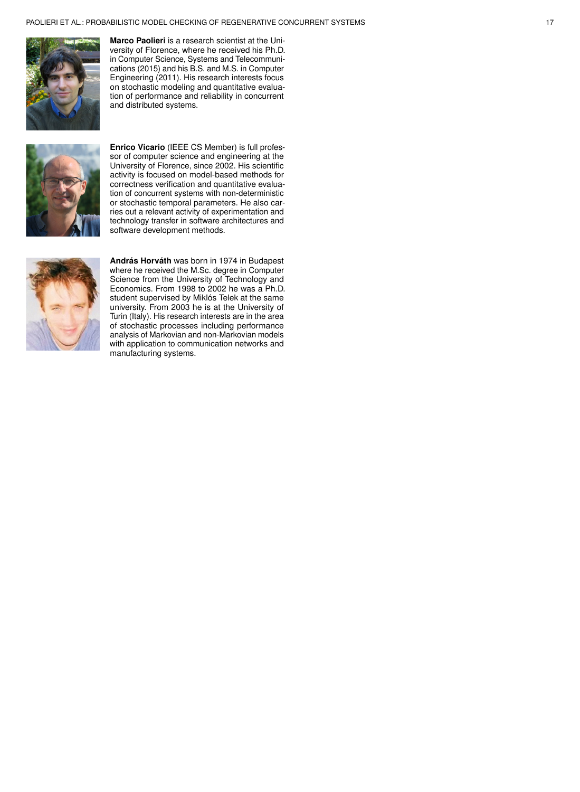#### PAOLIERI ET AL.: PROBABILISTIC MODEL CHECKING OF REGENERATIVE CONCURRENT SYSTEMS 17



**Marco Paolieri** is a research scientist at the University of Florence, where he received his Ph.D. in Computer Science, Systems and Telecommunications (2015) and his B.S. and M.S. in Computer Engineering (2011). His research interests focus on stochastic modeling and quantitative evaluation of performance and reliability in concurrent and distributed systems.



**Enrico Vicario** (IEEE CS Member) is full professor of computer science and engineering at the University of Florence, since 2002. His scientific activity is focused on model-based methods for correctness verification and quantitative evaluation of concurrent systems with non-deterministic or stochastic temporal parameters. He also carries out a relevant activity of experimentation and technology transfer in software architectures and software development methods.



András Horváth was born in 1974 in Budapest where he received the M.Sc. degree in Computer Science from the University of Technology and Economics. From 1998 to 2002 he was a Ph.D. student supervised by Miklós Telek at the same university. From 2003 he is at the University of Turin (Italy). His research interests are in the area of stochastic processes including performance analysis of Markovian and non-Markovian models with application to communication networks and manufacturing systems.